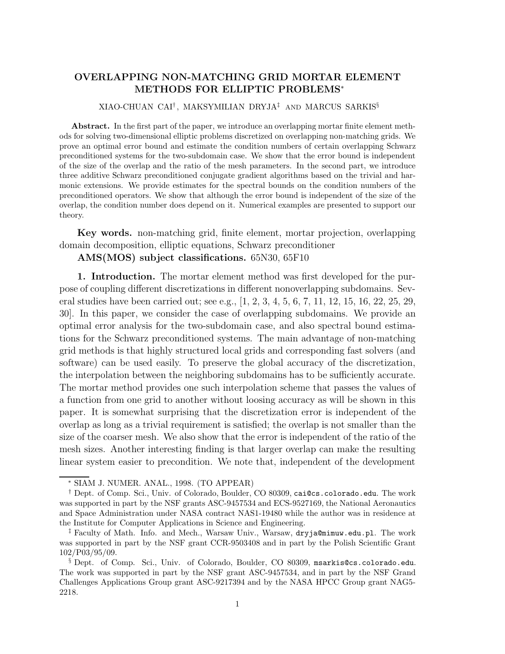# **OVERLAPPING NON-MATCHING GRID MORTAR ELEMENT METHODS FOR ELLIPTIC PROBLEMS**<sup>∗</sup>

## XIAO-CHUAN CAI† , MAKSYMILIAN DRYJA‡ AND MARCUS SARKIS§

**Abstract.** In the first part of the paper, we introduce an overlapping mortar finite element methods for solving two-dimensional elliptic problems discretized on overlapping non-matching grids. We prove an optimal error bound and estimate the condition numbers of certain overlapping Schwarz preconditioned systems for the two-subdomain case. We show that the error bound is independent of the size of the overlap and the ratio of the mesh parameters. In the second part, we introduce three additive Schwarz preconditioned conjugate gradient algorithms based on the trivial and harmonic extensions. We provide estimates for the spectral bounds on the condition numbers of the preconditioned operators. We show that although the error bound is independent of the size of the overlap, the condition number does depend on it. Numerical examples are presented to support our theory.

**Key words.** non-matching grid, finite element, mortar projection, overlapping domain decomposition, elliptic equations, Schwarz preconditioner

### **AMS(MOS) subject classifications.** 65N30, 65F10

**1. Introduction.** The mortar element method was first developed for the purpose of coupling different discretizations in different nonoverlapping subdomains. Several studies have been carried out; see e.g., [1, 2, 3, 4, 5, 6, 7, 11, 12, 15, 16, 22, 25, 29, 30]. In this paper, we consider the case of overlapping subdomains. We provide an optimal error analysis for the two-subdomain case, and also spectral bound estimations for the Schwarz preconditioned systems. The main advantage of non-matching grid methods is that highly structured local grids and corresponding fast solvers (and software) can be used easily. To preserve the global accuracy of the discretization, the interpolation between the neighboring subdomains has to be sufficiently accurate. The mortar method provides one such interpolation scheme that passes the values of a function from one grid to another without loosing accuracy as will be shown in this paper. It is somewhat surprising that the discretization error is independent of the overlap as long as a trivial requirement is satisfied; the overlap is not smaller than the size of the coarser mesh. We also show that the error is independent of the ratio of the mesh sizes. Another interesting finding is that larger overlap can make the resulting linear system easier to precondition. We note that, independent of the development

<sup>∗</sup> SIAM J. NUMER. ANAL., 1998. (TO APPEAR)

<sup>†</sup> Dept. of Comp. Sci., Univ. of Colorado, Boulder, CO 80309, cai@cs.colorado.edu. The work was supported in part by the NSF grants ASC-9457534 and ECS-9527169, the National Aeronautics and Space Administration under NASA contract NAS1-19480 while the author was in residence at the Institute for Computer Applications in Science and Engineering.

<sup>‡</sup> Faculty of Math. Info. and Mech., Warsaw Univ., Warsaw, dryja@mimuw.edu.pl. The work was supported in part by the NSF grant CCR-9503408 and in part by the Polish Scientific Grant 102/P03/95/09.

<sup>§</sup> Dept. of Comp. Sci., Univ. of Colorado, Boulder, CO 80309, msarkis@cs.colorado.edu. The work was supported in part by the NSF grant ASC-9457534, and in part by the NSF Grand Challenges Applications Group grant ASC-9217394 and by the NASA HPCC Group grant NAG5- 2218.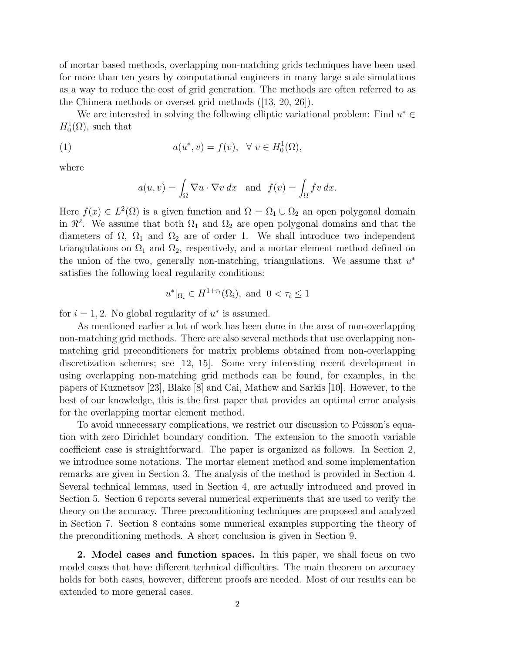of mortar based methods, overlapping non-matching grids techniques have been used for more than ten years by computational engineers in many large scale simulations as a way to reduce the cost of grid generation. The methods are often referred to as the Chimera methods or overset grid methods ([13, 20, 26]).

We are interested in solving the following elliptic variational problem: Find  $u^* \in$  $H_0^1(\Omega)$ , such that

(1) 
$$
a(u^*, v) = f(v), \forall v \in H_0^1(\Omega),
$$

where

$$
a(u, v) = \int_{\Omega} \nabla u \cdot \nabla v \, dx \text{ and } f(v) = \int_{\Omega} fv \, dx.
$$

Here  $f(x) \in L^2(\Omega)$  is a given function and  $\Omega = \Omega_1 \cup \Omega_2$  an open polygonal domain in  $\mathbb{R}^2$ . We assume that both  $\Omega_1$  and  $\Omega_2$  are open polygonal domains and that the diameters of  $\Omega$ ,  $\Omega_1$  and  $\Omega_2$  are of order 1. We shall introduce two independent triangulations on  $\Omega_1$  and  $\Omega_2$ , respectively, and a mortar element method defined on the union of the two, generally non-matching, triangulations. We assume that  $u^*$ satisfies the following local regularity conditions:

$$
u^*|_{\Omega_i} \in H^{1+\tau_i}(\Omega_i), \text{ and } 0 < \tau_i \le 1
$$

for  $i = 1, 2$ . No global regularity of  $u^*$  is assumed.

As mentioned earlier a lot of work has been done in the area of non-overlapping non-matching grid methods. There are also several methods that use overlapping nonmatching grid preconditioners for matrix problems obtained from non-overlapping discretization schemes; see [12, 15]. Some very interesting recent development in using overlapping non-matching grid methods can be found, for examples, in the papers of Kuznetsov [23], Blake [8] and Cai, Mathew and Sarkis [10]. However, to the best of our knowledge, this is the first paper that provides an optimal error analysis for the overlapping mortar element method.

To avoid unnecessary complications, we restrict our discussion to Poisson's equation with zero Dirichlet boundary condition. The extension to the smooth variable coefficient case is straightforward. The paper is organized as follows. In Section 2, we introduce some notations. The mortar element method and some implementation remarks are given in Section 3. The analysis of the method is provided in Section 4. Several technical lemmas, used in Section 4, are actually introduced and proved in Section 5. Section 6 reports several numerical experiments that are used to verify the theory on the accuracy. Three preconditioning techniques are proposed and analyzed in Section 7. Section 8 contains some numerical examples supporting the theory of the preconditioning methods. A short conclusion is given in Section 9.

**2. Model cases and function spaces.** In this paper, we shall focus on two model cases that have different technical difficulties. The main theorem on accuracy holds for both cases, however, different proofs are needed. Most of our results can be extended to more general cases.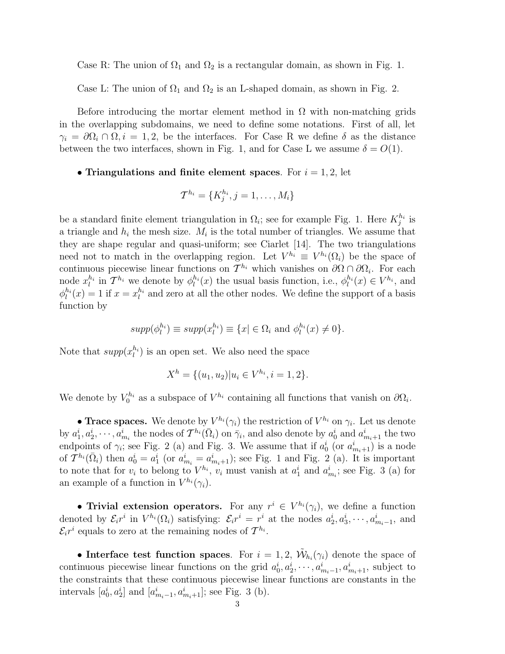Case R: The union of  $\Omega_1$  and  $\Omega_2$  is a rectangular domain, as shown in Fig. 1.

Case L: The union of  $\Omega_1$  and  $\Omega_2$  is an L-shaped domain, as shown in Fig. 2.

Before introducing the mortar element method in  $\Omega$  with non-matching grids in the overlapping subdomains, we need to define some notations. First of all, let  $\gamma_i = \partial \Omega_i \cap \Omega, i = 1, 2$ , be the interfaces. For Case R we define  $\delta$  as the distance between the two interfaces, shown in Fig. 1, and for Case L we assume  $\delta = O(1)$ .

### • **Triangulations and finite element spaces**. For  $i = 1, 2$ , let

$$
\mathcal{T}^{h_i} = \{K_j^{h_i}, j = 1, \ldots, M_i\}
$$

be a standard finite element triangulation in  $\Omega_i$ ; see for example Fig. 1. Here  $K_j^{h_i}$  is a triangle and  $h_i$  the mesh size.  $M_i$  is the total number of triangles. We assume that they are shape regular and quasi-uniform; see Ciarlet [14]. The two triangulations need not to match in the overlapping region. Let  $V^{h_i} \equiv V^{h_i}(\Omega_i)$  be the space of continuous piecewise linear functions on  $\mathcal{T}^{h_i}$  which vanishes on  $\partial\Omega \cap \partial\Omega_i$ . For each node  $x_l^{h_i}$  in  $\mathcal{T}^{h_i}$  we denote by  $\phi_l^{h_i}(x)$  the usual basis function, i.e.,  $\phi_l^{h_i}(x) \in V^{h_i}$ , and  $\phi_l^{h_i}(x) = 1$  if  $x = x_l^{h_i}$  and zero at all the other nodes. We define the support of a basis function by

$$
supp(\phi_l^{h_i}) \equiv supp(x_l^{h_i}) \equiv \{x | \in \Omega_i \text{ and } \phi_l^{h_i}(x) \neq 0\}.
$$

Note that  $supp(x_l^{h_i})$  is an open set. We also need the space

$$
X^{h} = \{(u_1, u_2) | u_i \in V^{h_i}, i = 1, 2\}.
$$

We denote by  $V_0^{h_i}$  as a subspace of  $V^{h_i}$  containing all functions that vanish on  $\partial\Omega_i$ .

• **Trace spaces.** We denote by  $V^{h_i}(\gamma_i)$  the restriction of  $V^{h_i}$  on  $\gamma_i$ . Let us denote by  $a_1^i, a_2^i, \dots, a_{m_i}^i$  the nodes of  $\mathcal{T}^{h_i}(\bar{\Omega}_i)$  on  $\bar{\gamma}_i$ , and also denote by  $a_0^i$  and  $a_{m_i+1}^i$  the two endpoints of  $\gamma_i$ ; see Fig. 2 (a) and Fig. 3. We assume that if  $a_0^i$  (or  $a_{m_i+1}^i$ ) is a node of  $\mathcal{T}^{h_i}(\bar{\Omega}_i)$  then  $a_0^i = a_1^i$  (or  $a_{m_i}^i = a_{m_i+1}^i$ ); see Fig. 1 and Fig. 2 (a). It is important to note that for  $v_i$  to belong to  $V^{h_i}$ ,  $v_i$  must vanish at  $a_1^i$  and  $a_{m_i}^i$ ; see Fig. 3 (a) for an example of a function in  $V^{h_i}(\gamma_i)$ .

• **Trivial extension operators.** For any  $r^i \in V^{h_i}(\gamma_i)$ , we define a function denoted by  $\mathcal{E}_i r^i$  in  $V^{h_i}(\Omega_i)$  satisfying:  $\mathcal{E}_i r^i = r^i$  at the nodes  $a_2^i, a_3^i, \dots, a_{m_i-1}^i$ , and  $\mathcal{E}_{i}r^{i}$  equals to zero at the remaining nodes of  $\mathcal{T}^{h_{i}}$ .

• **Interface test function spaces**. For  $i = 1, 2, \tilde{\mathcal{W}}_{h_i}(\gamma_i)$  denote the space of continuous piecewise linear functions on the grid  $a_0^i, a_2^i, \dots, a_{m_i-1}^i, a_{m_i+1}^i$ , subject to the constraints that these continuous piecewise linear functions are constants in the intervals  $[a_0^i, a_2^i]$  and  $[a_{m_i-1}^i, a_{m_i+1}^i]$ ; see Fig. 3 (b).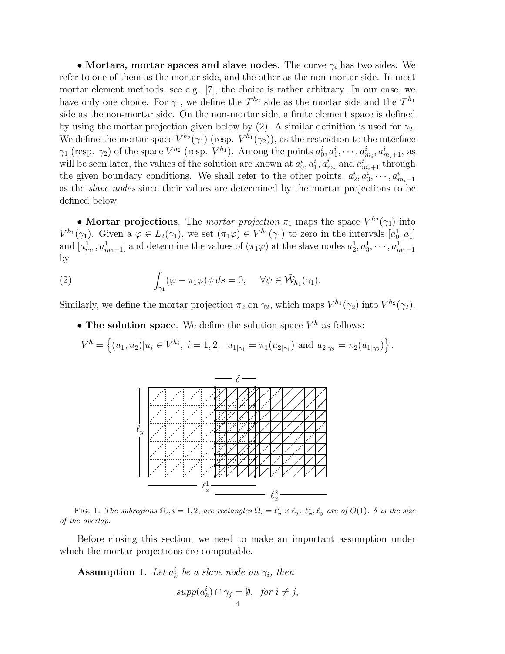• **Mortars, mortar spaces and slave nodes**. The curve  $\gamma_i$  has two sides. We refer to one of them as the mortar side, and the other as the non-mortar side. In most mortar element methods, see e.g. [7], the choice is rather arbitrary. In our case, we have only one choice. For  $\gamma_1$ , we define the  $\mathcal{T}^{h_2}$  side as the mortar side and the  $\mathcal{T}^{h_1}$ side as the non-mortar side. On the non-mortar side, a finite element space is defined by using the mortar projection given below by (2). A similar definition is used for  $\gamma_2$ . We define the mortar space  $V^{h_2}(\gamma_1)$  (resp.  $V^{h_1}(\gamma_2)$ ), as the restriction to the interface  $\gamma_1$  (resp.  $\gamma_2$ ) of the space  $V^{h_2}$  (resp.  $V^{h_1}$ ). Among the points  $a_0^i, a_1^i, \cdots, a_{m_i}^i, a_{m_i+1}^i$ , as will be seen later, the values of the solution are known at  $a_0^i, a_1^i, a_{m_i}^i$  and  $a_{m_i+1}^i$  through the given boundary conditions. We shall refer to the other points,  $a_2^i, a_3^i, \dots, a_{m_i-1}^i$ as the slave nodes since their values are determined by the mortar projections to be defined below.

• **Mortar projections**. The mortar projection  $\pi_1$  maps the space  $V^{h_2}(\gamma_1)$  into  $V^{h_1}(\gamma_1)$ . Given a  $\varphi \in L_2(\gamma_1)$ , we set  $(\pi_1 \varphi) \in V^{h_1}(\gamma_1)$  to zero in the intervals  $[a_0^1, a_1^1]$ and  $[a_{m_1}^1, a_{m_1+1}^1]$  and determine the values of  $(\pi_1 \varphi)$  at the slave nodes  $a_2^1, a_3^1, \cdots, a_{m_1-1}^1$ by

(2) 
$$
\int_{\gamma_1} (\varphi - \pi_1 \varphi) \psi \, ds = 0, \quad \forall \psi \in \tilde{\mathcal{W}}_{h_1}(\gamma_1).
$$

Similarly, we define the mortar projection  $\pi_2$  on  $\gamma_2$ , which maps  $V^{h_1}(\gamma_2)$  into  $V^{h_2}(\gamma_2)$ .

• **The solution space**. We define the solution space  $V^h$  as follows:

$$
V^h = \left\{ (u_1, u_2) | u_i \in V^{h_i}, i = 1, 2, u_{1|\gamma_1} = \pi_1(u_{2|\gamma_1}) \text{ and } u_{2|\gamma_2} = \pi_2(u_{1|\gamma_2}) \right\}.
$$



FIG. 1. The subregions  $\Omega_i$ ,  $i = 1, 2$ , are rectangles  $\Omega_i = \ell_x^i \times \ell_y$ .  $\ell_x^i$ ,  $\ell_y$  are of  $O(1)$ .  $\delta$  is the size of the overlap.

Before closing this section, we need to make an important assumption under which the mortar projections are computable.

**Assumption** 1. Let  $a_k^i$  be a slave node on  $\gamma_i$ , then

$$
supp(a_k^i) \cap \gamma_j = \emptyset, \ \text{for } i \neq j,
$$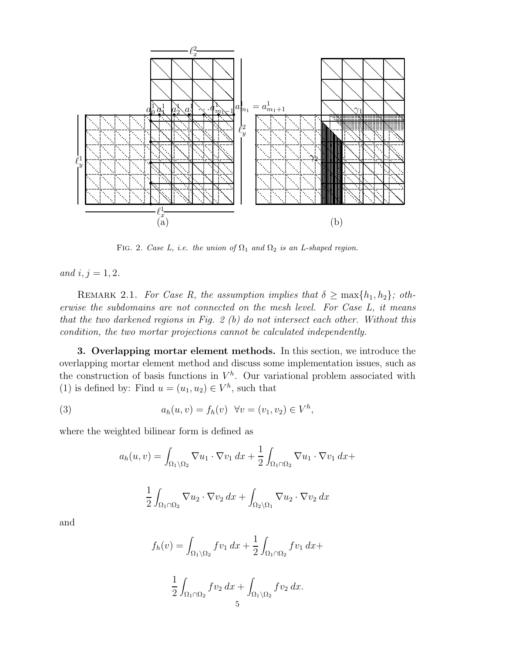

FIG. 2. Case L, i.e. the union of  $\Omega_1$  and  $\Omega_2$  is an L-shaped region.

and  $i, j = 1, 2$ .

REMARK 2.1. For Case R, the assumption implies that  $\delta \geq \max\{h_1, h_2\}$ ; otherwise the subdomains are not connected on the mesh level. For Case L, it means that the two darkened regions in Fig. 2 (b) do not intersect each other. Without this condition, the two mortar projections cannot be calculated independently.

**3. Overlapping mortar element methods.** In this section, we introduce the overlapping mortar element method and discuss some implementation issues, such as the construction of basis functions in  $V^h$ . Our variational problem associated with (1) is defined by: Find  $u = (u_1, u_2) \in V^h$ , such that

(3) 
$$
a_h(u, v) = f_h(v) \quad \forall v = (v_1, v_2) \in V^h,
$$

where the weighted bilinear form is defined as

$$
a_h(u, v) = \int_{\Omega_1 \setminus \Omega_2} \nabla u_1 \cdot \nabla v_1 dx + \frac{1}{2} \int_{\Omega_1 \cap \Omega_2} \nabla u_1 \cdot \nabla v_1 dx +
$$

$$
\frac{1}{2} \int_{\Omega_1 \cap \Omega_2} \nabla u_2 \cdot \nabla v_2 dx + \int_{\Omega_2 \setminus \Omega_1} \nabla u_2 \cdot \nabla v_2 dx
$$

and

$$
f_h(v) = \int_{\Omega_1 \setminus \Omega_2} f v_1 dx + \frac{1}{2} \int_{\Omega_1 \cap \Omega_2} f v_1 dx +
$$

$$
\frac{1}{2} \int_{\Omega_1 \cap \Omega_2} f v_2 dx + \int_{\Omega_1 \setminus \Omega_2} f v_2 dx.
$$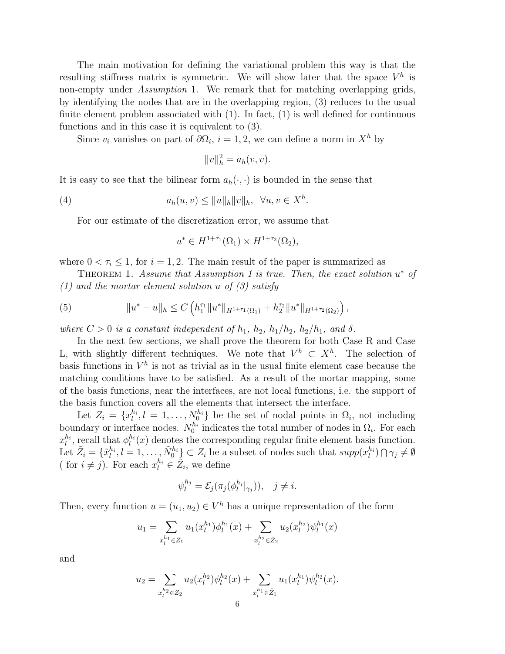The main motivation for defining the variational problem this way is that the resulting stiffness matrix is symmetric. We will show later that the space  $V^h$  is non-empty under *Assumption* 1. We remark that for matching overlapping grids, by identifying the nodes that are in the overlapping region, (3) reduces to the usual finite element problem associated with  $(1)$ . In fact,  $(1)$  is well defined for continuous functions and in this case it is equivalent to (3).

Since  $v_i$  vanishes on part of  $\partial\Omega_i$ ,  $i = 1, 2$ , we can define a norm in  $X^h$  by

$$
||v||_h^2 = a_h(v, v).
$$

It is easy to see that the bilinear form  $a_h(\cdot, \cdot)$  is bounded in the sense that

(4) 
$$
a_h(u,v) \leq ||u||_h ||v||_h, \quad \forall u, v \in X^h.
$$

For our estimate of the discretization error, we assume that

$$
u^* \in H^{1+\tau_1}(\Omega_1) \times H^{1+\tau_2}(\Omega_2),
$$

where  $0 < \tau_i \leq 1$ , for  $i = 1, 2$ . The main result of the paper is summarized as

THEOREM 1. Assume that Assumption 1 is true. Then, the exact solution  $u^*$  of  $(1)$  and the mortar element solution u of  $(3)$  satisfy

(5) 
$$
||u^*-u||_h \leq C \left( h_1^{\tau_1} ||u^*||_{H^{1+\tau_1}(\Omega_1)} + h_2^{\tau_2} ||u^*||_{H^{1+\tau_2}(\Omega_2)} \right),
$$

where  $C > 0$  is a constant independent of  $h_1$ ,  $h_2$ ,  $h_1/h_2$ ,  $h_2/h_1$ , and  $\delta$ .

In the next few sections, we shall prove the theorem for both Case R and Case L, with slightly different techniques. We note that  $V^h \subset X^h$ . The selection of basis functions in  $V^h$  is not as trivial as in the usual finite element case because the matching conditions have to be satisfied. As a result of the mortar mapping, some of the basis functions, near the interfaces, are not local functions, i.e. the support of the basis function covers all the elements that intersect the interface.

Let  $Z_i = \{x_l^{h_i}, l = 1, \ldots, N_0^{h_i}\}\$ be the set of nodal points in  $\Omega_i$ , not including boundary or interface nodes.  $N_0^{h_i}$  indicates the total number of nodes in  $\Omega_i$ . For each  $x_l^{h_i}$ , recall that  $\phi_l^{h_i}(x)$  denotes the corresponding regular finite element basis function. Let  $\tilde{Z}_i = \{\tilde{x}_l^{h_i}, l = 1, \ldots, \tilde{N}_0^{h_i}\} \subset Z_i$  be a subset of nodes such that  $supp(x_l^{h_i}) \cap \gamma_j \neq \emptyset$ ( for  $i \neq j$ ). For each  $x_l^{h_i} \in \mathcal{Z}_i$ , we define

$$
\psi_l^{h_j} = \mathcal{E}_j(\pi_j(\phi_l^{h_i}|_{\gamma_j})), \quad j \neq i.
$$

Then, every function  $u = (u_1, u_2) \in V^h$  has a unique representation of the form

$$
u_1 = \sum_{x_l^{h_1} \in Z_1} u_1(x_l^{h_1}) \phi_l^{h_1}(x) + \sum_{x_l^{h_2} \in \tilde{Z}_2} u_2(x_l^{h_2}) \psi_l^{h_1}(x)
$$

and

$$
u_2 = \sum_{x_l^{h_2} \in Z_2} u_2(x_l^{h_2}) \phi_l^{h_2}(x) + \sum_{x_l^{h_1} \in \tilde{Z}_1} u_1(x_l^{h_1}) \psi_l^{h_2}(x).
$$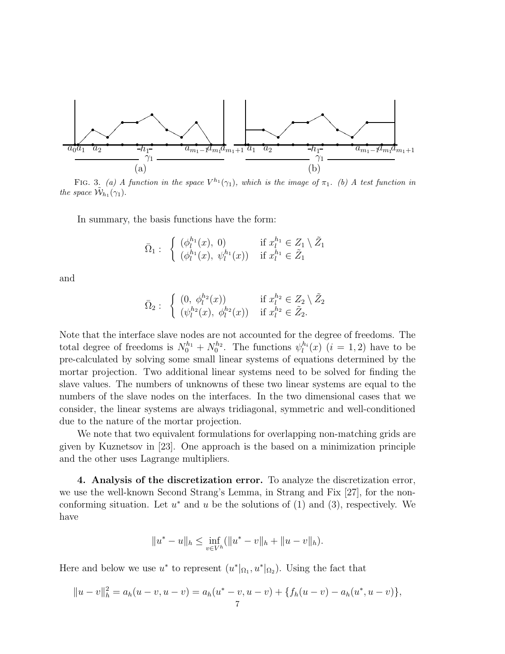

FIG. 3. (a) A function in the space  $V^{h_1}(\gamma_1)$ , which is the image of  $\pi_1$ . (b) A test function in the space  $\mathcal{W}_{h_1}(\gamma_1)$ .

In summary, the basis functions have the form:

$$
\bar{\Omega}_1: \begin{cases} (\phi_l^{h_1}(x), 0) & \text{if } x_l^{h_1} \in Z_1 \setminus \tilde{Z}_1 \\ (\phi_l^{h_1}(x), \ \psi_l^{h_1}(x)) & \text{if } x_l^{h_1} \in \tilde{Z}_1 \end{cases}
$$

and

$$
\bar{\Omega}_2: \begin{cases}\n(0, \phi_l^{h_2}(x)) & \text{if } x_l^{h_2} \in Z_2 \setminus \tilde{Z}_2 \\
(\psi_l^{h_2}(x), \phi_l^{h_2}(x)) & \text{if } x_l^{h_2} \in \tilde{Z}_2.\n\end{cases}
$$

Note that the interface slave nodes are not accounted for the degree of freedoms. The total degree of freedoms is  $N_0^{h_1} + N_0^{h_2}$ . The functions  $\psi_l^{h_i}(x)$   $(i = 1, 2)$  have to be pre-calculated by solving some small linear systems of equations determined by the mortar projection. Two additional linear systems need to be solved for finding the slave values. The numbers of unknowns of these two linear systems are equal to the numbers of the slave nodes on the interfaces. In the two dimensional cases that we consider, the linear systems are always tridiagonal, symmetric and well-conditioned due to the nature of the mortar projection.

We note that two equivalent formulations for overlapping non-matching grids are given by Kuznetsov in [23]. One approach is the based on a minimization principle and the other uses Lagrange multipliers.

**4. Analysis of the discretization error.** To analyze the discretization error, we use the well-known Second Strang's Lemma, in Strang and Fix [27], for the nonconforming situation. Let  $u^*$  and  $u$  be the solutions of (1) and (3), respectively. We have

$$
||u^* - u||_h \le \inf_{v \in V^h} (||u^* - v||_h + ||u - v||_h).
$$

Here and below we use  $u^*$  to represent  $(u^*|_{\Omega_1}, u^*|_{\Omega_2})$ . Using the fact that

$$
||u - v||h2 = ah(u - v, u - v) = ah(u* - v, u - v) + \{fh(u - v) - ah(u*, u - v)\},
$$
<sup>7</sup>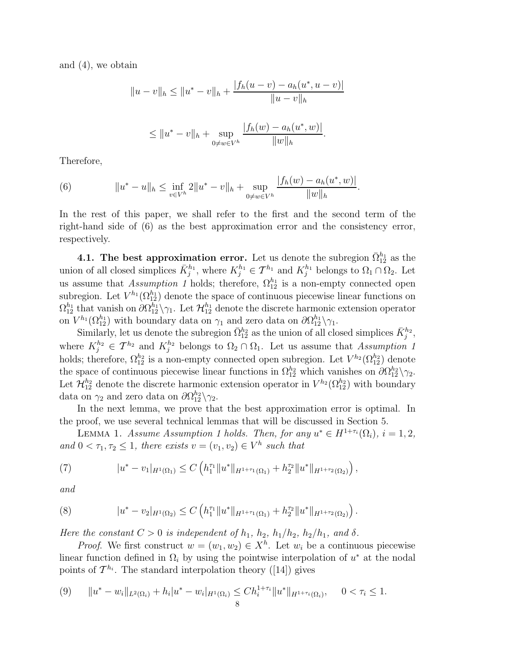and (4), we obtain

$$
||u - v||_{h} \le ||u^* - v||_{h} + \frac{|f_h(u - v) - a_h(u^*, u - v)|}{||u - v||_{h}}
$$
  

$$
\le ||u^* - v||_{h} + \sup_{0 \ne w \in V^h} \frac{|f_h(w) - a_h(u^*, w)|}{||w||_{h}}.
$$

Therefore,

(6) 
$$
||u^*-u||_h \leq \inf_{v\in V^h} 2||u^*-v||_h + \sup_{0\neq w\in V^h} \frac{|f_h(w)-a_h(u^*,w)|}{||w||_h}.
$$

In the rest of this paper, we shall refer to the first and the second term of the right-hand side of (6) as the best approximation error and the consistency error, respectively.

**4.1. The best approximation error.** Let us denote the subregion  $\bar{\Omega}_{12}^{h_1}$  as the union of all closed simplices  $\bar{K}_j^{h_1}$ , where  $K_j^{h_1} \in \mathcal{T}^{h_1}$  and  $K_j^{h_1}$  belongs to  $\Omega_1 \cap \Omega_2$ . Let us assume that Assumption 1 holds; therefore,  $\Omega_{12}^{h_1}$  is a non-empty connected open subregion. Let  $V^{h_1}(\Omega_{12}^{h_1})$  denote the space of continuous piecewise linear functions on  $\Omega_{12}^{h_1}$  that vanish on  $\partial \Omega_{12}^{h_1} \setminus \gamma_1$ . Let  $\mathcal{H}_{12}^{h_1}$  denote the discrete harmonic extension operator on  $V^{h_1}(\Omega_{12}^{h_1})$  with boundary data on  $\gamma_1$  and zero data on  $\partial \Omega_{12}^{h_1} \setminus \gamma_1$ .

Similarly, let us denote the subregion  $\bar{\Omega}_{12}^{h_2}$  as the union of all closed simplices  $\bar{K}_j^{h_2}$ , where  $K_j^{h_2} \in \mathcal{T}^{h_2}$  and  $K_j^{h_2}$  belongs to  $\Omega_2 \cap \Omega_1$ . Let us assume that Assumption 1 holds; therefore,  $\Omega_{12}^{h_2}$  is a non-empty connected open subregion. Let  $V^{h_2}(\Omega_{12}^{h_2})$  denote the space of continuous piecewise linear functions in  $\Omega_{12}^{h_2}$  which vanishes on  $\partial \Omega_{12}^{h_2} \setminus \gamma_2$ . Let  $\mathcal{H}_{12}^{h_2}$  denote the discrete harmonic extension operator in  $V^{h_2}(\Omega_{12}^{h_2})$  with boundary data on  $\gamma_2$  and zero data on  $\partial \Omega_{12}^{h_2} \backslash \gamma_2$ .

In the next lemma, we prove that the best approximation error is optimal. In the proof, we use several technical lemmas that will be discussed in Section 5.

LEMMA 1. Assume Assumption 1 holds. Then, for any  $u^* \in H^{1+\tau_i}(\Omega_i)$ ,  $i = 1, 2$ , and  $0 < \tau_1, \tau_2 \leq 1$ , there exists  $v = (v_1, v_2) \in V^h$  such that

(7) 
$$
|u^*-v_1|_{H^1(\Omega_1)} \leq C \left( h_1^{\tau_1} \|u^*\|_{H^{1+\tau_1}(\Omega_1)} + h_2^{\tau_2} \|u^*\|_{H^{1+\tau_2}(\Omega_2)} \right),
$$

and

(8) 
$$
|u^*-v_2|_{H^1(\Omega_2)} \leq C \left( h_1^{\tau_1} \|u^*\|_{H^{1+\tau_1}(\Omega_1)} + h_2^{\tau_2} \|u^*\|_{H^{1+\tau_2}(\Omega_2)} \right).
$$

Here the constant  $C > 0$  is independent of  $h_1$ ,  $h_2$ ,  $h_1/h_2$ ,  $h_2/h_1$ , and  $\delta$ .

*Proof.* We first construct  $w = (w_1, w_2) \in X^h$ . Let  $w_i$  be a continuous piecewise linear function defined in  $\Omega_i$  by using the pointwise interpolation of  $u^*$  at the nodal points of  $\mathcal{T}^{h_i}$ . The standard interpolation theory ([14]) gives

$$
(9) \t\t ||u^* - w_i||_{L^2(\Omega_i)} + h_i|u^* - w_i|_{H^1(\Omega_i)} \leq Ch_i^{1+\tau_i}||u^*||_{H^{1+\tau_i}(\Omega_i)}, \t 0 < \tau_i \leq 1.
$$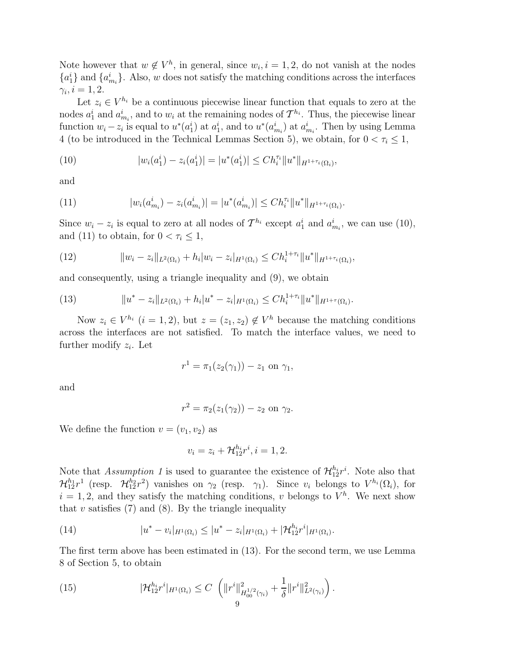Note however that  $w \notin V^h$ , in general, since  $w_i$ ,  $i = 1, 2$ , do not vanish at the nodes  ${a_1^i}$  and  ${a_{m_i}^i}$ . Also, w does not satisfy the matching conditions across the interfaces  $\gamma_i, i = 1, 2.$ 

Let  $z_i \in V^{h_i}$  be a continuous piecewise linear function that equals to zero at the nodes  $a_1^i$  and  $a_{m_i}^i$ , and to  $w_i$  at the remaining nodes of  $\mathcal{T}^{h_i}$ . Thus, the piecewise linear function  $w_i - z_i$  is equal to  $u^*(a_1^i)$  at  $a_1^i$ , and to  $u^*(a_{m_i}^i)$  at  $a_{m_i}^i$ . Then by using Lemma 4 (to be introduced in the Technical Lemmas Section 5), we obtain, for  $0 < \tau_i \leq 1$ ,

(10) 
$$
|w_i(a_1^i) - z_i(a_1^i)| = |u^*(a_1^i)| \leq Ch_i^{\tau_i} ||u^*||_{H^{1+\tau_i}(\Omega_i)},
$$

and

(11) 
$$
|w_i(a_{m_i}^i) - z_i(a_{m_i}^i)| = |u^*(a_{m_i}^i)| \leq Ch_i^{\tau_i} ||u^*||_{H^{1+\tau_i}(\Omega_i)}.
$$

Since  $w_i - z_i$  is equal to zero at all nodes of  $\mathcal{T}^{h_i}$  except  $a_1^i$  and  $a_{m_i}^i$ , we can use (10), and (11) to obtain, for  $0 < \tau_i \leq 1$ ,

(12) 
$$
||w_i - z_i||_{L^2(\Omega_i)} + h_i|w_i - z_i|_{H^1(\Omega_i)} \leq Ch_i^{1+\tau_i}||u^*||_{H^{1+\tau_i}(\Omega_i)},
$$

and consequently, using a triangle inequality and (9), we obtain

(13) 
$$
||u^* - z_i||_{L^2(\Omega_i)} + h_i|u^* - z_i|_{H^1(\Omega_i)} \leq Ch_i^{1+\tau_i}||u^*||_{H^{1+\tau}(\Omega_i)}.
$$

Now  $z_i \in V^{h_i}$   $(i = 1, 2)$ , but  $z = (z_1, z_2) \notin V^h$  because the matching conditions across the interfaces are not satisfied. To match the interface values, we need to further modify  $z_i$ . Let

$$
r^{1} = \pi_{1}(z_{2}(\gamma_{1})) - z_{1} \text{ on } \gamma_{1},
$$

and

$$
r^{2} = \pi_{2}(z_{1}(\gamma_{2})) - z_{2} \text{ on } \gamma_{2}.
$$

We define the function  $v = (v_1, v_2)$  as

$$
v_i = z_i + \mathcal{H}_{12}^{h_i} r^i, i = 1, 2.
$$

Note that Assumption 1 is used to guarantee the existence of  $\mathcal{H}_{12}^{h_i}r^i$ . Note also that  $\mathcal{H}_{12}^{h_1}r^1$  (resp.  $\mathcal{H}_{12}^{h_2}r^2$ ) vanishes on  $\gamma_2$  (resp.  $\gamma_1$ ). Since  $v_i$  belongs to  $V^{h_i}(\Omega_i)$ , for  $i = 1, 2$ , and they satisfy the matching conditions, v belongs to  $V^h$ . We next show that v satisfies  $(7)$  and  $(8)$ . By the triangle inequality

(14) 
$$
|u^*-v_i|_{H^1(\Omega_i)} \leq |u^*-z_i|_{H^1(\Omega_i)} + |\mathcal{H}_{12}^{h_i}r^i|_{H^1(\Omega_i)}.
$$

The first term above has been estimated in (13). For the second term, we use Lemma 8 of Section 5, to obtain

(15) 
$$
|\mathcal{H}_{12}^{h_i}r^i|_{H^1(\Omega_i)} \leq C \left( \|r^i\|_{H_{00}^{1/2}(\gamma_i)}^2 + \frac{1}{\delta} \|r^i\|_{L^2(\gamma_i)}^2 \right).
$$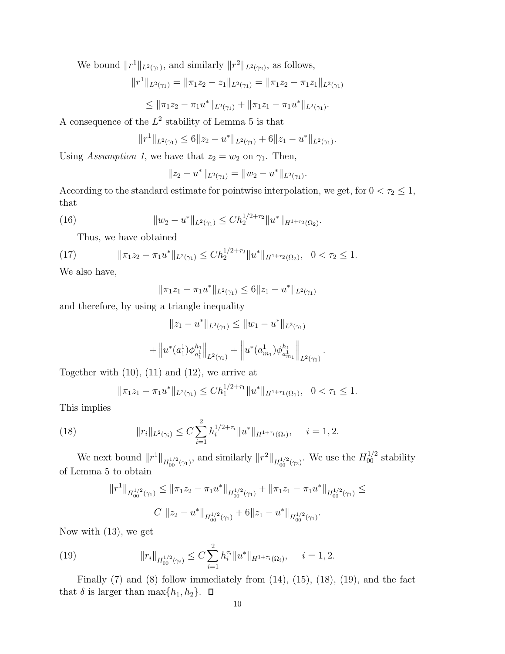We bound  $||r^1||_{L^2(\gamma_1)}$ , and similarly  $||r^2||_{L^2(\gamma_2)}$ , as follows,

$$
||r^{1}||_{L^{2}(\gamma_{1})} = ||\pi_{1}z_{2} - z_{1}||_{L^{2}(\gamma_{1})} = ||\pi_{1}z_{2} - \pi_{1}z_{1}||_{L^{2}(\gamma_{1})}
$$

$$
\leq \|\pi_1z_2-\pi_1u^*\|_{L^2(\gamma_1)}+\|\pi_1z_1-\pi_1u^*\|_{L^2(\gamma_1)}.
$$

A consequence of the  $L^2$  stability of Lemma 5 is that

$$
||r^1||_{L^2(\gamma_1)} \leq 6||z_2 - u^*||_{L^2(\gamma_1)} + 6||z_1 - u^*||_{L^2(\gamma_1)}.
$$

Using Assumption 1, we have that  $z_2 = w_2$  on  $\gamma_1$ . Then,

$$
||z_2 - u^*||_{L^2(\gamma_1)} = ||w_2 - u^*||_{L^2(\gamma_1)}.
$$

According to the standard estimate for pointwise interpolation, we get, for  $0 < \tau_2 \leq 1$ , that

(16) 
$$
||w_2 - u^*||_{L^2(\gamma_1)} \leq C h_2^{1/2 + \tau_2} ||u^*||_{H^{1+\tau_2}(\Omega_2)}.
$$

Thus, we have obtained

(17) 
$$
\|\pi_1 z_2 - \pi_1 u^*\|_{L^2(\gamma_1)} \leq C h_2^{1/2 + \tau_2} \|u^*\|_{H^{1+\tau_2}(\Omega_2)}, \quad 0 < \tau_2 \leq 1.
$$

We also have,

$$
\|\pi_1 z_1 - \pi_1 u^*\|_{L^2(\gamma_1)} \le 6\|z_1 - u^*\|_{L^2(\gamma_1)}
$$

and therefore, by using a triangle inequality

$$
||z_1 - u^*||_{L^2(\gamma_1)} \le ||w_1 - u^*||_{L^2(\gamma_1)}
$$

$$
+ \left\| u^*(a_1^1) \phi_{a_1^1}^{h_1} \right\|_{L^2(\gamma_1)} + \left\| u^*(a_{m_1}^1) \phi_{a_{m_1}^1}^{h_1} \right\|_{L^2(\gamma_1)}
$$

.

Together with  $(10)$ ,  $(11)$  and  $(12)$ , we arrive at

$$
\|\pi_1 z_1 - \pi_1 u^*\|_{L^2(\gamma_1)} \le C h_1^{1/2 + \tau_1} \|u^*\|_{H^{1+\tau_1}(\Omega_1)}, \quad 0 < \tau_1 \le 1.
$$

This implies

(18) 
$$
||r_i||_{L^2(\gamma_i)} \leq C \sum_{i=1}^2 h_i^{1/2+\tau_i} ||u^*||_{H^{1+\tau_i}(\Omega_i)}, \quad i=1,2.
$$

We next bound  $||r^1||_{H_{00}^{1/2}(\gamma_1)}$ , and similarly  $||r^2||_{H_{00}^{1/2}(\gamma_2)}$ . We use the  $H_{00}^{1/2}$  stability of Lemma 5 to obtain

$$
||r^1||_{H_{00}^{1/2}(\gamma_1)} \le ||\pi_1 z_2 - \pi_1 u^*||_{H_{00}^{1/2}(\gamma_1)} + ||\pi_1 z_1 - \pi_1 u^*||_{H_{00}^{1/2}(\gamma_1)} \le
$$
  

$$
C ||z_2 - u^*||_{H_{00}^{1/2}(\gamma_1)} + 6||z_1 - u^*||_{H_{00}^{1/2}(\gamma_1)}.
$$

Now with (13), we get

(19) 
$$
||r_{i}||_{H_{00}^{1/2}(\gamma_{i})} \leq C \sum_{i=1}^{2} h_{i}^{\tau_{i}} ||u^{*}||_{H^{1+\tau_{i}}(\Omega_{i})}, \quad i=1,2.
$$

Finally  $(7)$  and  $(8)$  follow immediately from  $(14)$ ,  $(15)$ ,  $(18)$ ,  $(19)$ , and the fact that  $\delta$  is larger than  $\max\{h_1, h_2\}$ .  $\Box$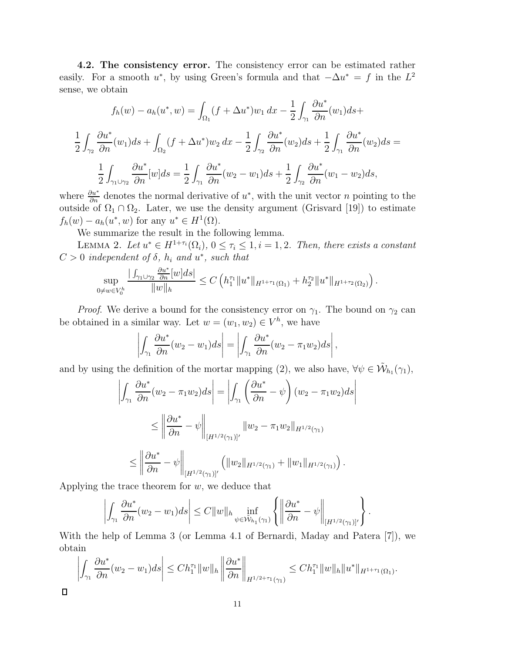**4.2. The consistency error.** The consistency error can be estimated rather easily. For a smooth u<sup>\*</sup>, by using Green's formula and that  $-\Delta u^* = f$  in the  $L^2$ sense, we obtain

$$
f_h(w) - a_h(u^*, w) = \int_{\Omega_1} (f + \Delta u^*) w_1 dx - \frac{1}{2} \int_{\gamma_1} \frac{\partial u^*}{\partial n} (w_1) ds +
$$
  

$$
\frac{1}{2} \int_{\gamma_2} \frac{\partial u^*}{\partial n} (w_1) ds + \int_{\Omega_2} (f + \Delta u^*) w_2 dx - \frac{1}{2} \int_{\gamma_2} \frac{\partial u^*}{\partial n} (w_2) ds + \frac{1}{2} \int_{\gamma_1} \frac{\partial u^*}{\partial n} (w_2) ds =
$$
  

$$
\frac{1}{2} \int_{\gamma_1 \cup \gamma_2} \frac{\partial u^*}{\partial n} [w] ds = \frac{1}{2} \int_{\gamma_1} \frac{\partial u^*}{\partial n} (w_2 - w_1) ds + \frac{1}{2} \int_{\gamma_2} \frac{\partial u^*}{\partial n} (w_1 - w_2) ds,
$$

where  $\frac{\partial u^*}{\partial n}$  denotes the normal derivative of  $u^*$ , with the unit vector n pointing to the outside of  $\Omega_1 \cap \Omega_2$ . Later, we use the density argument (Grisvard [19]) to estimate  $f_h(w) - a_h(u^*, w)$  for any  $u^* \in H^1(\Omega)$ .

We summarize the result in the following lemma.

LEMMA 2. Let  $u^* \in H^{1+\tau_i}(\Omega_i)$ ,  $0 \leq \tau_i \leq 1$ ,  $i = 1, 2$ . Then, there exists a constant  $C > 0$  independent of  $\delta$ ,  $h_i$  and  $u^*$ , such that

$$
\sup_{0 \neq w \in V_0^h} \frac{\left| \int_{\gamma_1 \cup \gamma_2} \frac{\partial u^*}{\partial n} [w] ds \right|}{\|w\|_h} \leq C \left( h_1^{\tau_1} \| u^* \|_{H^{1+\tau_1}(\Omega_1)} + h_2^{\tau_2} \| u^* \|_{H^{1+\tau_2}(\Omega_2)} \right)
$$

.

*Proof.* We derive a bound for the consistency error on  $\gamma_1$ . The bound on  $\gamma_2$  can be obtained in a similar way. Let  $w = (w_1, w_2) \in V^h$ , we have

$$
\left|\int_{\gamma_1} \frac{\partial u^*}{\partial n}(w_2 - w_1) ds\right| = \left|\int_{\gamma_1} \frac{\partial u^*}{\partial n}(w_2 - \pi_1 w_2) ds\right|,
$$

and by using the definition of the mortar mapping (2), we also have,  $\forall \psi \in \tilde{\mathcal{W}}_{h_1}(\gamma_1)$ ,

$$
\left| \int_{\gamma_1} \frac{\partial u^*}{\partial n} (w_2 - \pi_1 w_2) ds \right| = \left| \int_{\gamma_1} \left( \frac{\partial u^*}{\partial n} - \psi \right) (w_2 - \pi_1 w_2) ds \right|
$$
  

$$
\leq \left\| \frac{\partial u^*}{\partial n} - \psi \right\|_{\left[H^{1/2}(\gamma_1)\right]'} \left\| w_2 - \pi_1 w_2 \right\|_{H^{1/2}(\gamma_1)}
$$
  

$$
\leq \left\| \frac{\partial u^*}{\partial n} - \psi \right\|_{\left[H^{1/2}(\gamma_1)\right]'} \left( \left\| w_2 \right\|_{H^{1/2}(\gamma_1)} + \left\| w_1 \right\|_{H^{1/2}(\gamma_1)} \right).
$$

Applying the trace theorem for  $w$ , we deduce that

 $\Box$ 

$$
\left|\int_{\gamma_1} \frac{\partial u^*}{\partial n}(w_2 - w_1) ds\right| \leq C \|w\|_{h} \inf_{\psi \in \tilde{\mathcal{W}}_{h_1}(\gamma_1)} \left\{ \left\|\frac{\partial u^*}{\partial n} - \psi\right\|_{[H^{1/2}(\gamma_1)]'} \right\}.
$$

With the help of Lemma 3 (or Lemma 4.1 of Bernardi, Maday and Patera [7]), we obtain

$$
\left| \int_{\gamma_1} \frac{\partial u^*}{\partial n} (w_2 - w_1) ds \right| \leq C h_1^{\tau_1} \|w\|_h \left\| \frac{\partial u^*}{\partial n} \right\|_{H^{1/2 + \tau_1}(\gamma_1)} \leq C h_1^{\tau_1} \|w\|_h \|u^*\|_{H^{1 + \tau_1}(\Omega_1)}.
$$

11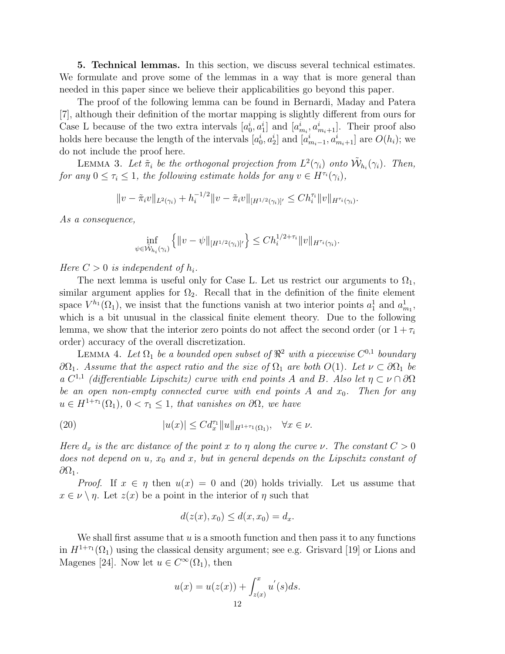**5. Technical lemmas.** In this section, we discuss several technical estimates. We formulate and prove some of the lemmas in a way that is more general than needed in this paper since we believe their applicabilities go beyond this paper.

The proof of the following lemma can be found in Bernardi, Maday and Patera [7], although their definition of the mortar mapping is slightly different from ours for Case L because of the two extra intervals  $[a_0^i, a_1^i]$  and  $[a_{m_i}^i, a_{m_i+1}^i]$ . Their proof also holds here because the length of the intervals  $[a_0^i, a_2^i]$  and  $[a_{m_i-1}^i, a_{m_i+1}^i]$  are  $O(h_i)$ ; we do not include the proof here.

LEMMA 3. Let  $\tilde{\pi}_i$  be the orthogonal projection from  $L^2(\gamma_i)$  onto  $\tilde{\mathcal{W}}_{h_i}(\gamma_i)$ . Then, for any  $0 \leq \tau_i \leq 1$ , the following estimate holds for any  $v \in H^{\tau_i}(\gamma_i)$ ,

$$
||v - \tilde{\pi}_i v||_{L^2(\gamma_i)} + h_i^{-1/2}||v - \tilde{\pi}_i v||_{[H^{1/2}(\gamma_i)]'} \leq Ch_i^{\tau_i}||v||_{H^{\tau_i}(\gamma_i)}.
$$

As a consequence,

$$
\inf_{\psi \in \tilde{\mathcal{W}}_{h_i}(\gamma_i)} \left\{ ||v - \psi||_{[H^{1/2}(\gamma_i)]'} \right\} \leq C h_i^{1/2 + \tau_i} ||v||_{H^{\tau_i}(\gamma_i)}.
$$

Here  $C > 0$  is independent of  $h_i$ .

The next lemma is useful only for Case L. Let us restrict our arguments to  $\Omega_1$ , similar argument applies for  $\Omega_2$ . Recall that in the definition of the finite element space  $V^{h_1}(\Omega_1)$ , we insist that the functions vanish at two interior points  $a_1^1$  and  $a_{m_1}^1$ , which is a bit unusual in the classical finite element theory. Due to the following lemma, we show that the interior zero points do not affect the second order (or  $1+\tau_i$ ) order) accuracy of the overall discretization.

LEMMA 4. Let  $\Omega_1$  be a bounded open subset of  $\mathbb{R}^2$  with a piecewise  $C^{0,1}$  boundary  $∂Ω₁$ . Assume that the aspect ratio and the size of  $Ω₁$  are both  $O(1)$ . Let  $ν ⊂ ∂Ω₁$  be a  $C^{1,1}$  (differentiable Lipschitz) curve with end points A and B. Also let  $\eta \subset \nu \cap \partial \Omega$ be an open non-empty connected curve with end points A and  $x_0$ . Then for any  $u \in H^{1+\tau_1}(\Omega_1)$ ,  $0 < \tau_1 \leq 1$ , that vanishes on  $\partial\Omega$ , we have

(20) 
$$
|u(x)| \leq C d_x^{\tau_1} ||u||_{H^{1+\tau_1}(\Omega_1)}, \quad \forall x \in \nu.
$$

Here  $d_x$  is the arc distance of the point x to  $\eta$  along the curve  $\nu$ . The constant  $C > 0$ does not depend on  $u$ ,  $x_0$  and  $x$ , but in general depends on the Lipschitz constant of  $\partial Ω_1$ .

*Proof.* If  $x \in \eta$  then  $u(x) = 0$  and (20) holds trivially. Let us assume that  $x \in \nu \setminus \eta$ . Let  $z(x)$  be a point in the interior of  $\eta$  such that

$$
d(z(x), x_0) \le d(x, x_0) = d_x.
$$

We shall first assume that  $u$  is a smooth function and then pass it to any functions in  $H^{1+\tau_1}(\Omega_1)$  using the classical density argument; see e.g. Grisvard [19] or Lions and Magenes [24]. Now let  $u \in C^{\infty}(\Omega_1)$ , then

$$
u(x) = u(z(x)) + \int_{z(x)}^{x} u'(s)ds.
$$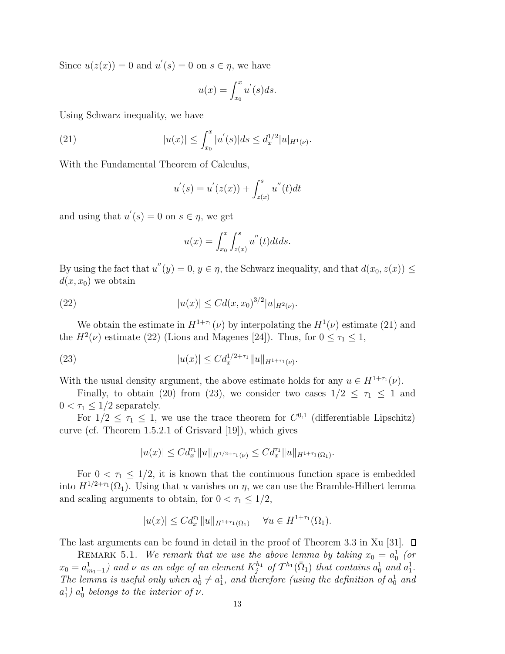Since  $u(z(x)) = 0$  and  $u'(s) = 0$  on  $s \in \eta$ , we have

$$
u(x) = \int_{x_0}^x u'(s)ds.
$$

Using Schwarz inequality, we have

(21) 
$$
|u(x)| \leq \int_{x_0}^x |u'(s)| ds \leq d_x^{1/2} |u|_{H^1(\nu)}.
$$

With the Fundamental Theorem of Calculus,

$$
u'(s) = u'(z(x)) + \int_{z(x)}^{s} u''(t)dt
$$

and using that  $u'(s) = 0$  on  $s \in \eta$ , we get

$$
u(x) = \int_{x_0}^x \int_{z(x)}^s u''(t) dt ds.
$$

By using the fact that  $u''(y) = 0, y \in \eta$ , the Schwarz inequality, and that  $d(x_0, z(x)) \leq$  $d(x, x_0)$  we obtain

(22) 
$$
|u(x)| \leq C d(x,x_0)^{3/2} |u|_{H^2(\nu)}.
$$

We obtain the estimate in  $H^{1+\tau_1}(\nu)$  by interpolating the  $H^1(\nu)$  estimate (21) and the  $H^2(\nu)$  estimate (22) (Lions and Magenes [24]). Thus, for  $0 \le \tau_1 \le 1$ ,

(23) 
$$
|u(x)| \leq C d_x^{1/2 + \tau_1} ||u||_{H^{1+\tau_1}(\nu)}.
$$

With the usual density argument, the above estimate holds for any  $u \in H^{1+\tau_1}(\nu)$ .

Finally, to obtain (20) from (23), we consider two cases  $1/2 \leq \tau_1 \leq 1$  and  $0 < \tau_1 \leq 1/2$  separately.

For  $1/2 \leq \tau_1 \leq 1$ , we use the trace theorem for  $C^{0,1}$  (differentiable Lipschitz) curve (cf. Theorem 1.5.2.1 of Grisvard [19]), which gives

$$
|u(x)| \leq C d_x^{\tau_1} \|u\|_{H^{1/2+\tau_1}(\nu)} \leq C d_x^{\tau_1} \|u\|_{H^{1+\tau_1}(\Omega_1)}.
$$

For  $0 < \tau_1 \leq 1/2$ , it is known that the continuous function space is embedded into  $H^{1/2+\tau_1}(\Omega_1)$ . Using that u vanishes on  $\eta$ , we can use the Bramble-Hilbert lemma and scaling arguments to obtain, for  $0 < \tau_1 \leq 1/2$ ,

$$
|u(x)| \leq C d_x^{\tau_1} ||u||_{H^{1+\tau_1}(\Omega_1)} \quad \forall u \in H^{1+\tau_1}(\Omega_1).
$$

The last arguments can be found in detail in the proof of Theorem 3.3 in Xu [31].  $\square$ 

REMARK 5.1. We remark that we use the above lemma by taking  $x_0 = a_0^1$  (or  $x_0 = a_{m_1+1}^1$ ) and  $\nu$  as an edge of an element  $K_j^{h_1}$  of  $\mathcal{T}^{h_1}(\bar{\Omega}_1)$  that contains  $a_0^1$  and  $a_1^1$ . The lemma is useful only when  $a_0^1 \neq a_1^1$ , and therefore (using the definition of  $a_0^1$  and  $a_1^1$ )  $a_0^1$  belongs to the interior of  $\nu$ .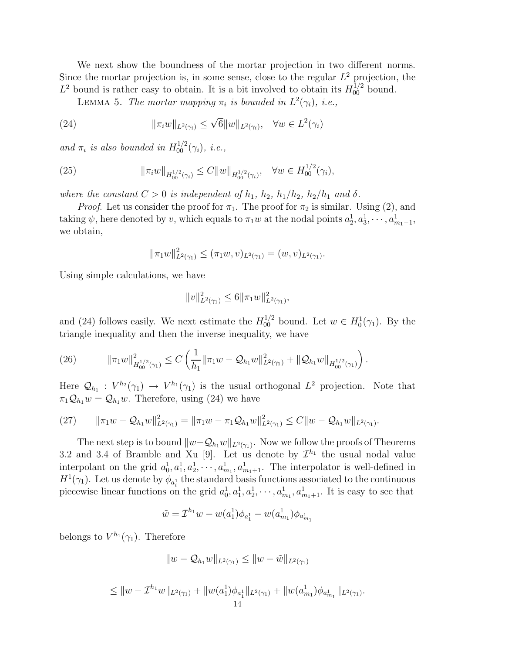We next show the boundness of the mortar projection in two different norms. Since the mortar projection is, in some sense, close to the regular  $L^2$  projection, the  $L^2$  bound is rather easy to obtain. It is a bit involved to obtain its  $H_{00}^{1/2}$  bound.

LEMMA 5. The mortar mapping  $\pi_i$  is bounded in  $L^2(\gamma_i)$ , i.e.,

(24) 
$$
\|\pi_i w\|_{L^2(\gamma_i)} \le \sqrt{6} \|w\|_{L^2(\gamma_i)}, \quad \forall w \in L^2(\gamma_i)
$$

and  $\pi_i$  is also bounded in  $H_{00}^{1/2}(\gamma_i)$ , i.e.,

(25) 
$$
\|\pi_i w\|_{H_{00}^{1/2}(\gamma_i)} \leq C \|w\|_{H_{00}^{1/2}(\gamma_i)}, \quad \forall w \in H_{00}^{1/2}(\gamma_i),
$$

where the constant  $C > 0$  is independent of  $h_1$ ,  $h_2$ ,  $h_1/h_2$ ,  $h_2/h_1$  and  $\delta$ .

*Proof.* Let us consider the proof for  $\pi_1$ . The proof for  $\pi_2$  is similar. Using (2), and taking  $\psi$ , here denoted by v, which equals to  $\pi_1 w$  at the nodal points  $a_2^1, a_3^1, \dots, a_{m_1-1}^1$ , we obtain,

$$
\|\pi_1 w\|_{L^2(\gamma_1)}^2 \le (\pi_1 w, v)_{L^2(\gamma_1)} = (w, v)_{L^2(\gamma_1)}.
$$

Using simple calculations, we have

$$
||v||_{L^{2}(\gamma_{1})}^{2} \leq 6||\pi_{1}w||_{L^{2}(\gamma_{1})}^{2},
$$

and (24) follows easily. We next estimate the  $H_{00}^{1/2}$  bound. Let  $w \in H_0^1(\gamma_1)$ . By the triangle inequality and then the inverse inequality, we have

(26) 
$$
\|\pi_1 w\|_{H_{00}^{1/2}(\gamma_1)}^2 \leq C \left( \frac{1}{h_1} \|\pi_1 w - \mathcal{Q}_{h_1} w\|_{L^2(\gamma_1)}^2 + \|\mathcal{Q}_{h_1} w\|_{H_{00}^{1/2}(\gamma_1)} \right).
$$

Here  $\mathcal{Q}_{h_1}: V^{h_2}(\gamma_1) \to V^{h_1}(\gamma_1)$  is the usual orthogonal  $L^2$  projection. Note that  $\pi_1 \mathcal{Q}_{h_1} w = \mathcal{Q}_{h_1} w$ . Therefore, using (24) we have

$$
(27) \qquad \|\pi_1 w - \mathcal{Q}_{h_1} w\|_{L^2(\gamma_1)}^2 = \|\pi_1 w - \pi_1 \mathcal{Q}_{h_1} w\|_{L^2(\gamma_1)}^2 \leq C \|w - \mathcal{Q}_{h_1} w\|_{L^2(\gamma_1)}.
$$

The next step is to bound  $||w - Q_{h_1}w||_{L^2(\gamma_1)}$ . Now we follow the proofs of Theorems 3.2 and 3.4 of Bramble and Xu [9]. Let us denote by  $\mathcal{I}^{h_1}$  the usual nodal value interpolant on the grid  $a_0^1, a_1^1, a_2^1, \cdots, a_{m_1}^1, a_{m_1+1}^1$ . The interpolator is well-defined in  $H^1(\gamma_1)$ . Let us denote by  $\phi_{a_i}$  the standard basis functions associated to the continuous piecewise linear functions on the grid  $a_0^1, a_1^1, a_2^1, \cdots, a_{m_1}^1, a_{m_1+1}^1$ . It is easy to see that

$$
\tilde{w} = \mathcal{I}^{h_1} w - w(a_1^1) \phi_{a_1^1} - w(a_{m_1}^1) \phi_{a_{m_1}^1}
$$

belongs to  $V^{h_1}(\gamma_1)$ . Therefore

$$
||w - Q_{h_1}w||_{L^2(\gamma_1)} \le ||w - \tilde{w}||_{L^2(\gamma_1)}
$$

$$
\leq \|w - \mathcal{I}^{h_1}w\|_{L^2(\gamma_1)} + \|w(a_1^1)\phi_{a_1^1}\|_{L^2(\gamma_1)} + \|w(a_{m_1}^1)\phi_{a_{m_1}^1}\|_{L^2(\gamma_1)}.
$$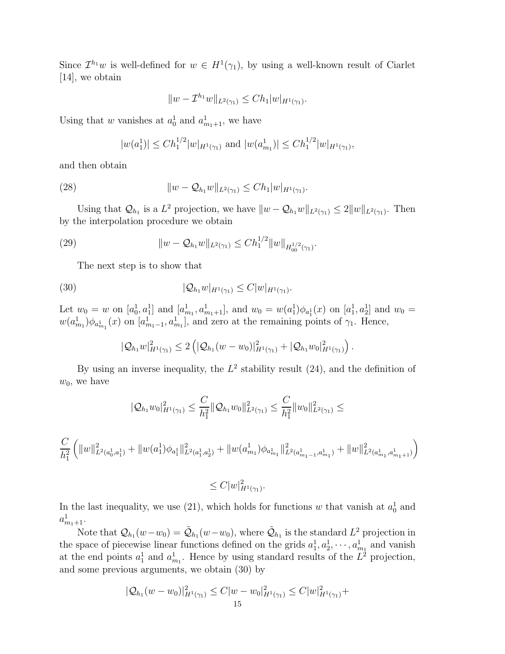Since  $\mathcal{I}^{h_1}w$  is well-defined for  $w \in H^1(\gamma_1)$ , by using a well-known result of Ciarlet [14], we obtain

$$
||w - \mathcal{I}^{h_1}w||_{L^2(\gamma_1)} \le Ch_1|w|_{H^1(\gamma_1)}.
$$

Using that w vanishes at  $a_0^1$  and  $a_{m_1+1}^1$ , we have

$$
|w(a_1^1)| \leq Ch_1^{1/2}|w|_{H^1(\gamma_1)}
$$
 and  $|w(a_{m_1}^1)| \leq Ch_1^{1/2}|w|_{H^1(\gamma_1)}$ ,

and then obtain

(28) 
$$
||w - Q_{h_1}w||_{L^2(\gamma_1)} \leq Ch_1|w|_{H^1(\gamma_1)}.
$$

Using that  $\mathcal{Q}_{h_1}$  is a  $L^2$  projection, we have  $||w - \mathcal{Q}_{h_1}w||_{L^2(\gamma_1)} \leq 2||w||_{L^2(\gamma_1)}$ . Then by the interpolation procedure we obtain

(29) 
$$
||w - Q_{h_1}w||_{L^2(\gamma_1)} \leq C h_1^{1/2} ||w||_{H_{00}^{1/2}(\gamma_1)}.
$$

The next step is to show that

(30) 
$$
|\mathcal{Q}_{h_1}w|_{H^1(\gamma_1)} \leq C|w|_{H^1(\gamma_1)}.
$$

Let  $w_0 = w$  on  $[a_0^1, a_1^1]$  and  $[a_{m_1}^1, a_{m_1+1}^1]$ , and  $w_0 = w(a_1^1) \phi_{a_1^1}(x)$  on  $[a_1^1, a_2^1]$  and  $w_0 = w$  $w(a_{m_1}^1)\phi_{a_{m_1}^1}(x)$  on  $[a_{m_1-1}^1, a_{m_1}^1]$ , and zero at the remaining points of  $\gamma_1$ . Hence,

$$
|\mathcal{Q}_{h_1}w|_{H^1(\gamma_1)}^2 \leq 2\left(|\mathcal{Q}_{h_1}(w-w_0)|_{H^1(\gamma_1)}^2+|\mathcal{Q}_{h_1}w_0|_{H^1(\gamma_1)}^2\right).
$$

By using an inverse inequality, the  $L^2$  stability result (24), and the definition of  $w_0$ , we have

$$
|\mathcal{Q}_{h_1}w_0|_{H^1(\gamma_1)}^2 \leq \frac{C}{h_1^2} \|\mathcal{Q}_{h_1}w_0\|_{L^2(\gamma_1)}^2 \leq \frac{C}{h_1^2} \|w_0\|_{L^2(\gamma_1)}^2 \leq
$$

$$
\frac{C}{h_1^2}\left(\|w\|_{L^2(a_0^1,a_1^1)}^2+\|w(a_1^1)\phi_{a_1^1}\|_{L^2(a_1^1,a_2^1)}^2+\|w(a_{m_1}^1)\phi_{a_{m_1}^1}\|_{L^2(a_{m_1-1}^1,a_{m_1}^1)}^2+\|w\|_{L^2(a_{m_1}^1,a_{m_1+1}^1)}^2\right)
$$

 $\leq C |w|_{H^1(\gamma_1)}^2$ .

In the last inequality, we use (21), which holds for functions w that vanish at  $a_0^1$  and  $a_{m_1+1}^1$ .

Note that  $\mathcal{Q}_{h_1}(w-w_0) = \tilde{\mathcal{Q}}_{h_1}(w-w_0)$ , where  $\tilde{\mathcal{Q}}_{h_1}$  is the standard  $L^2$  projection in the space of piecewise linear functions defined on the grids  $a_1^1, a_2^1, \dots, a_{m_1}^1$  and vanish at the end points  $a_1^1$  and  $a_{m_1}^1$ . Hence by using standard results of the  $L^2$  projection, and some previous arguments, we obtain (30) by

$$
|\mathcal{Q}_{h_1}(w - w_0)|_{H^1(\gamma_1)}^2 \le C|w - w_0|_{H^1(\gamma_1)}^2 \le C|w|_{H^1(\gamma_1)}^2 +
$$
  
15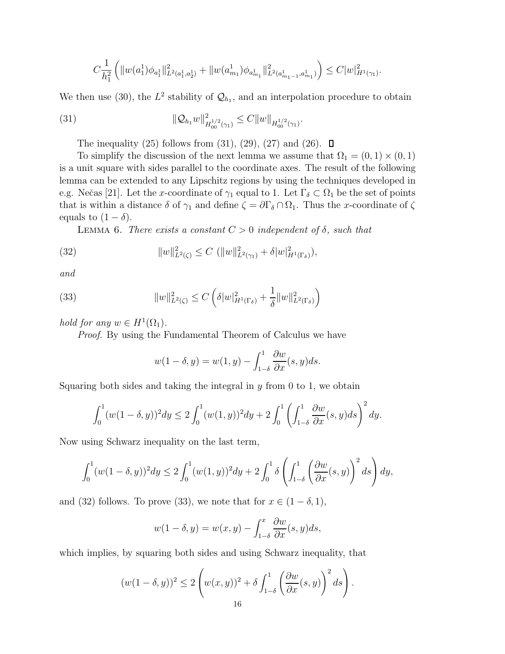$$
C\frac{1}{h_1^2}\left(\|w(a_1^1)\phi_{a_1^1}\|_{L^2(a_1^1,a_2^1)}^2+\|w(a_{m_1}^1)\phi_{a_{m_1}^1}\|_{L^2(a_{m_1-1}^1,a_{m_1}^1)}^2\right)\leq C|w|_{H^1(\gamma_1)}^2.
$$

We then use (30), the  $L^2$  stability of  $\mathcal{Q}_{h_1}$ , and an interpolation procedure to obtain

(31) 
$$
\|\mathcal{Q}_{h_1}w\|_{H_{00}^{1/2}(\gamma_1)}^2 \leq C \|w\|_{H_{00}^{1/2}(\gamma_1)}.
$$

The inequality (25) follows from  $(31)$ ,  $(29)$ ,  $(27)$  and  $(26)$ .  $\Box$ 

To simplify the discussion of the next lemma we assume that  $\Omega_1 = (0, 1) \times (0, 1)$ is a unit square with sides parallel to the coordinate axes. The result of the following lemma can be extended to any Lipschitz regions by using the techniques developed in e.g. Nečas [21]. Let the x-coordinate of  $\gamma_1$  equal to 1. Let  $\Gamma_\delta \subset \Omega_1$  be the set of points that is within a distance  $\delta$  of  $\gamma_1$  and define  $\zeta = \partial \Gamma_{\delta} \cap \Omega_1$ . Thus the x-coordinate of  $\zeta$ equals to  $(1 - \delta)$ .

LEMMA 6. There exists a constant  $C > 0$  independent of  $\delta$ , such that

(32) 
$$
||w||_{L^{2}(\zeta)}^{2} \leq C (||w||_{L^{2}(\gamma_{1})}^{2} + \delta |w|_{H^{1}(\Gamma_{\delta})}^{2}),
$$

and

(33) 
$$
||w||_{L^{2}(\zeta)}^{2} \leq C \left( \delta |w|_{H^{1}(\Gamma_{\delta})}^{2} + \frac{1}{\delta} ||w||_{L^{2}(\Gamma_{\delta})}^{2} \right)
$$

hold for any  $w \in H^1(\Omega_1)$ .

Proof. By using the Fundamental Theorem of Calculus we have

$$
w(1 - \delta, y) = w(1, y) - \int_{1-\delta}^{1} \frac{\partial w}{\partial x}(s, y) ds.
$$

Squaring both sides and taking the integral in  $y$  from 0 to 1, we obtain

$$
\int_0^1 (w(1-\delta,y))^2 dy \le 2 \int_0^1 (w(1,y))^2 dy + 2 \int_0^1 \left( \int_{1-\delta}^1 \frac{\partial w}{\partial x}(s,y) ds \right)^2 dy.
$$

Now using Schwarz inequality on the last term,

$$
\int_0^1 (w(1-\delta,y))^2 dy \le 2 \int_0^1 (w(1,y))^2 dy + 2 \int_0^1 \delta \left( \int_{1-\delta}^1 \left( \frac{\partial w}{\partial x}(s,y) \right)^2 ds \right) dy,
$$

and (32) follows. To prove (33), we note that for  $x \in (1 - \delta, 1)$ ,

$$
w(1-\delta, y) = w(x, y) - \int_{1-\delta}^{x} \frac{\partial w}{\partial x}(s, y) ds,
$$

which implies, by squaring both sides and using Schwarz inequality, that

$$
(w(1 - \delta, y))^2 \le 2\left(w(x, y))^2 + \delta \int_{1-\delta}^1 \left(\frac{\partial w}{\partial x}(s, y)\right)^2 ds\right).
$$
  
16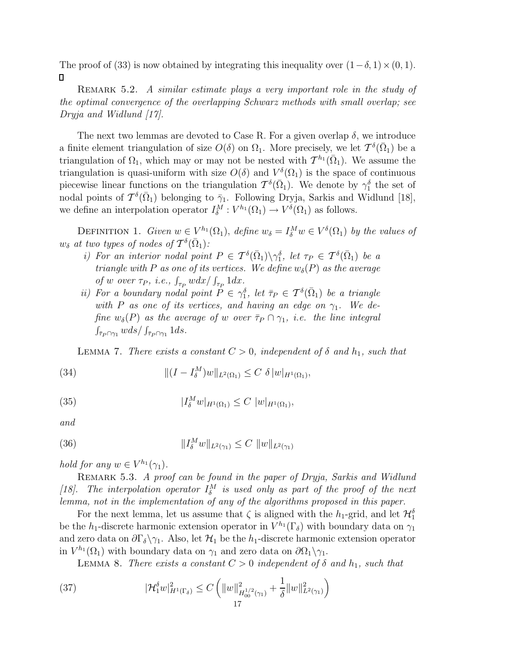The proof of (33) is now obtained by integrating this inequality over  $(1-\delta, 1) \times (0, 1)$ .  $\Box$ 

REMARK 5.2. A similar estimate plays a very important role in the study of the optimal convergence of the overlapping Schwarz methods with small overlap; see Dryja and Widlund [17].

The next two lemmas are devoted to Case R. For a given overlap  $\delta$ , we introduce a finite element triangulation of size  $O(\delta)$  on  $\Omega_1$ . More precisely, we let  $\mathcal{T}^{\delta}(\bar{\Omega}_1)$  be a triangulation of  $\Omega_1$ , which may or may not be nested with  $\mathcal{T}^{h_1}(\bar{\Omega}_1)$ . We assume the triangulation is quasi-uniform with size  $O(\delta)$  and  $V^{\delta}(\Omega_1)$  is the space of continuous piecewise linear functions on the triangulation  $T^{\delta}(\bar{\Omega}_1)$ . We denote by  $\gamma_1^{\delta}$  the set of nodal points of  $\mathcal{T}^{\delta}(\bar{\Omega}_1)$  belonging to  $\bar{\gamma}_1$ . Following Dryja, Sarkis and Widlund [18], we define an interpolation operator  $I_{\delta}^M : V^{h_1}(\Omega_1) \to V^{\delta}(\Omega_1)$  as follows.

DEFINITION 1. Given  $w \in V^{h_1}(\Omega_1)$ , define  $w_\delta = I_\delta^M w \in V^\delta(\Omega_1)$  by the values of  $w_{\delta}$  at two types of nodes of  $\mathcal{T}^{\delta}(\bar{\Omega}_1)$ :

- i) For an interior nodal point  $P \in \mathcal{T}^{\delta}(\bar{\Omega}_1) \setminus \gamma_1^{\delta}$ , let  $\tau_P \in \mathcal{T}^{\delta}(\bar{\Omega}_1)$  be a triangle with P as one of its vertices. We define  $w_{\delta}(P)$  as the average of w over  $\tau_P$ , *i.e.*,  $\int_{\tau_P} w dx / \int_{\tau_P} 1 dx$ .
- ii) For a boundary nodal point  $P \in \gamma_1^{\delta}$ , let  $\overline{\tau}_P \in \mathcal{T}^{\delta}(\overline{\Omega}_1)$  be a triangle with P as one of its vertices, and having an edge on  $\gamma_1$ . We define  $w_{\delta}(P)$  as the average of w over  $\bar{\tau}_P \cap \gamma_1$ , i.e. the line integral  $\int_{\bar{\tau}_P \cap \gamma_1} w ds / \int_{\bar{\tau}_P \cap \gamma_1} 1 ds$ .

LEMMA 7. There exists a constant  $C > 0$ , independent of  $\delta$  and  $h_1$ , such that

(34) 
$$
\| (I - I_{\delta}^{M}) w \|_{L^{2}(\Omega_{1})} \leq C \delta |w|_{H^{1}(\Omega_{1})},
$$

(35) 
$$
|I_{\delta}^{M}w|_{H^{1}(\Omega_{1})} \leq C |w|_{H^{1}(\Omega_{1})},
$$

and

(36) 
$$
||I_{\delta}^{M}w||_{L^{2}(\gamma_{1})} \leq C ||w||_{L^{2}(\gamma_{1})}
$$

hold for any  $w \in V^{h_1}(\gamma_1)$ .

REMARK 5.3. A proof can be found in the paper of Dryja, Sarkis and Widlund [18]. The interpolation operator  $I_{\delta}^M$  is used only as part of the proof of the next lemma, not in the implementation of any of the algorithms proposed in this paper.

For the next lemma, let us assume that  $\zeta$  is aligned with the  $h_1$ -grid, and let  $\mathcal{H}_1^{\delta}$ be the h<sub>1</sub>-discrete harmonic extension operator in  $V^{h_1}(\Gamma_\delta)$  with boundary data on  $\gamma_1$ and zero data on  $\partial \Gamma_{\delta} \setminus \gamma_1$ . Also, let  $\mathcal{H}_1$  be the h<sub>1</sub>-discrete harmonic extension operator in  $V^{h_1}(\Omega_1)$  with boundary data on  $\gamma_1$  and zero data on  $\partial\Omega_1\setminus\gamma_1$ .

LEMMA 8. There exists a constant  $C > 0$  independent of  $\delta$  and  $h_1$ , such that

(37) 
$$
|\mathcal{H}_1^{\delta}w|_{H^1(\Gamma_{\delta})}^2 \leq C \left( \|w\|_{H_{00}^{1/2}(\gamma_1)}^2 + \frac{1}{\delta} \|w\|_{L^2(\gamma_1)}^2 \right)
$$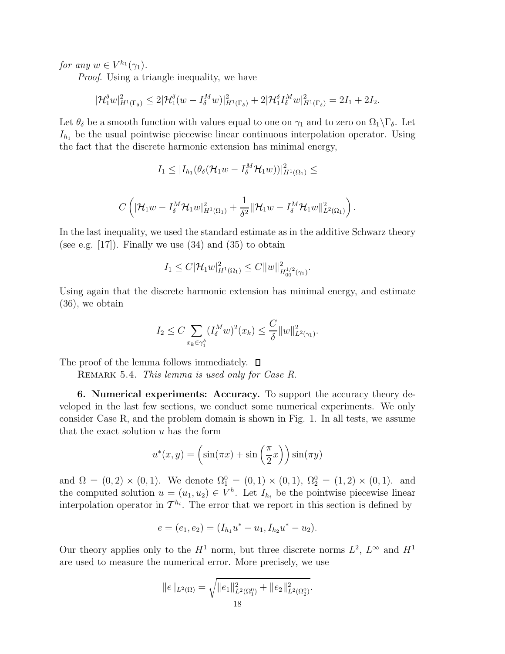for any  $w \in V^{h_1}(\gamma_1)$ .

Proof. Using a triangle inequality, we have

$$
|\mathcal{H}_1^{\delta} w|_{H^1(\Gamma_{\delta})}^2 \leq 2|\mathcal{H}_1^{\delta}(w - I_{\delta}^M w)|_{H^1(\Gamma_{\delta})}^2 + 2|\mathcal{H}_1^{\delta} I_{\delta}^M w|_{H^1(\Gamma_{\delta})}^2 = 2I_1 + 2I_2.
$$

Let  $\theta_{\delta}$  be a smooth function with values equal to one on  $\gamma_1$  and to zero on  $\Omega_1 \backslash \Gamma_{\delta}$ . Let  $I_{h_1}$  be the usual pointwise piecewise linear continuous interpolation operator. Using the fact that the discrete harmonic extension has minimal energy,

$$
I_1\leq |I_{h_1}(\theta_\delta(\mathcal{H}_1 w-I_\delta^M\mathcal{H}_1 w))|_{H^1(\Omega_1)}^2\leq
$$

$$
C\left( \left| \mathcal{H}_1 w - I_\delta^M \mathcal{H}_1 w \right|_{H^1(\Omega_1)}^2 + \frac{1}{\delta^2} \|\mathcal{H}_1 w - I_\delta^M \mathcal{H}_1 w \|^2_{L^2(\Omega_1)} \right).
$$

In the last inequality, we used the standard estimate as in the additive Schwarz theory (see e.g.  $[17]$ ). Finally we use  $(34)$  and  $(35)$  to obtain

$$
I_1 \leq C |\mathcal{H}_1 w|_{H^1(\Omega_1)}^2 \leq C \|w\|_{H_{00}^{1/2}(\gamma_1)}^2.
$$

Using again that the discrete harmonic extension has minimal energy, and estimate (36), we obtain

$$
I_2 \le C \sum_{x_k \in \gamma_1^{\delta}} (I_{\delta}^M w)^2(x_k) \le \frac{C}{\delta} \|w\|_{L^2(\gamma_1)}^2.
$$

The proof of the lemma follows immediately.  $\square$ 

REMARK 5.4. This lemma is used only for Case R.

**6. Numerical experiments: Accuracy.** To support the accuracy theory developed in the last few sections, we conduct some numerical experiments. We only consider Case R, and the problem domain is shown in Fig. 1. In all tests, we assume that the exact solution  $u$  has the form

$$
u^*(x, y) = \left(\sin(\pi x) + \sin\left(\frac{\pi}{2}x\right)\right)\sin(\pi y)
$$

and  $\Omega = (0, 2) \times (0, 1)$ . We denote  $\Omega_1^0 = (0, 1) \times (0, 1)$ ,  $\Omega_2^0 = (1, 2) \times (0, 1)$ . and the computed solution  $u = (u_1, u_2) \in V^h$ . Let  $I_{h_i}$  be the pointwise piecewise linear interpolation operator in  $\mathcal{T}^{h_i}$ . The error that we report in this section is defined by

$$
e = (e_1, e_2) = (I_{h_1}u^* - u_1, I_{h_2}u^* - u_2).
$$

Our theory applies only to the  $H^1$  norm, but three discrete norms  $L^2$ ,  $L^{\infty}$  and  $H^1$ are used to measure the numerical error. More precisely, we use

$$
||e||_{L^{2}(\Omega)} = \sqrt{||e_{1}||_{L^{2}(\Omega_{1}^{0})}^{2} + ||e_{2}||_{L^{2}(\Omega_{2}^{0})}^{2}}.
$$
  
18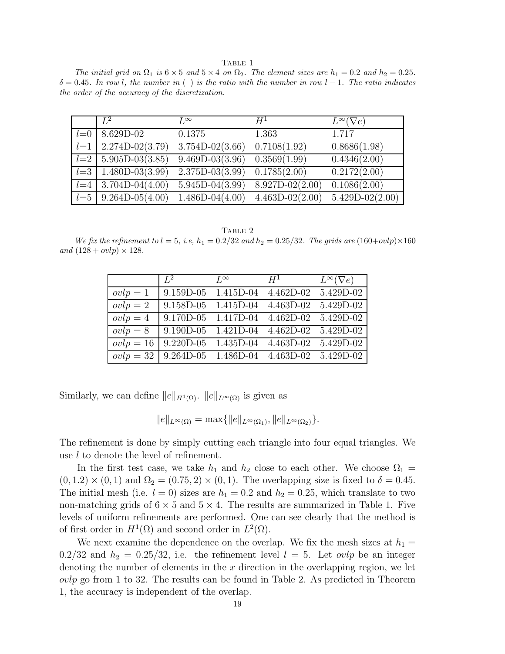TABLE 1

The initial grid on  $\Omega_1$  is  $6 \times 5$  and  $5 \times 4$  on  $\Omega_2$ . The element sizes are  $h_1 = 0.2$  and  $h_2 = 0.25$ .  $\delta = 0.45$ . In row l, the number in () is the ratio with the number in row l – 1. The ratio indicates the order of the accuracy of the discretization.

|         | $L^2$                 | $L^{\infty}$        | $H^1$               | $L^{\infty}(\nabla e)$ |
|---------|-----------------------|---------------------|---------------------|------------------------|
| $l=0$   | 8.629D-02             | 0.1375              | 1.363               | 1.717                  |
| $l=1$   | $2.274D-02(3.79)$     | $3.754D-02(3.66)$   | 0.7108(1.92)        | 0.8686(1.98)           |
|         | $l=2$ 5.905D-03(3.85) | $9.469D - 03(3.96)$ | 0.3569(1.99)        | 0.4346(2.00)           |
| $l = 3$ | $1.480D-03(3.99)$     | $2.375D-03(3.99)$   | 0.1785(2.00)        | 0.2172(2.00)           |
| $l = 4$ | $3.704D-04(4.00)$     | $5.945D-04(3.99)$   | $8.927D - 02(2.00)$ | 0.1086(2.00)           |
|         | $l=5$ 9.264D-05(4.00) | $1.486D-04(4.00)$   | $4.463D-02(2.00)$   | $5.429D-02(2.00)$      |

TABLE 2

We fix the refinement to  $l = 5$ , i.e,  $h_1 = 0.2/32$  and  $h_2 = 0.25/32$ . The grids are  $(160+ovlp) \times 160$ and  $(128 + ovlp) \times 128$ .

|             | $L^2$     | $L^{\infty}$ | $H^1$     | $L^{\infty}(\nabla e)$ |
|-------------|-----------|--------------|-----------|------------------------|
| $ovlp = 1$  | 9.159D-05 | 1.415D-04    | 4.462D-02 | 5.429D-02              |
| $ovlp = 2$  | 9.158D-05 | $1.415D-04$  | 4.463D-02 | 5.429D-02              |
| $ovlp = 4$  | 9.170D-05 | 1.417D-04    | 4.462D-02 | 5.429D-02              |
| $ovlp = 8$  | 9.190D-05 | 1.421D-04    | 4.462D-02 | 5.429D-02              |
| $ovlp = 16$ | 9.220D-05 | 1.435D-04    | 4.463D-02 | 5.429D-02              |
| $ovlp = 32$ | 9.264D-05 | 1.486D-04    | 4.463D-02 | 5.429D-02              |

Similarly, we can define  $||e||_{H^1(\Omega)}$ .  $||e||_{L^{\infty}(\Omega)}$  is given as

$$
||e||_{L^{\infty}(\Omega)} = \max{||e||_{L^{\infty}(\Omega_1)}, ||e||_{L^{\infty}(\Omega_2)}}.
$$

The refinement is done by simply cutting each triangle into four equal triangles. We use l to denote the level of refinement.

In the first test case, we take  $h_1$  and  $h_2$  close to each other. We choose  $\Omega_1 =$  $(0, 1.2) \times (0, 1)$  and  $\Omega_2 = (0.75, 2) \times (0, 1)$ . The overlapping size is fixed to  $\delta = 0.45$ . The initial mesh (i.e.  $l = 0$ ) sizes are  $h_1 = 0.2$  and  $h_2 = 0.25$ , which translate to two non-matching grids of  $6 \times 5$  and  $5 \times 4$ . The results are summarized in Table 1. Five levels of uniform refinements are performed. One can see clearly that the method is of first order in  $H^1(\Omega)$  and second order in  $L^2(\Omega)$ .

We next examine the dependence on the overlap. We fix the mesh sizes at  $h_1 =$  $0.2/32$  and  $h_2 = 0.25/32$ , i.e. the refinement level  $l = 5$ . Let *ovlp* be an integer denoting the number of elements in the  $x$  direction in the overlapping region, we let  $ovlp$  go from 1 to 32. The results can be found in Table 2. As predicted in Theorem 1, the accuracy is independent of the overlap.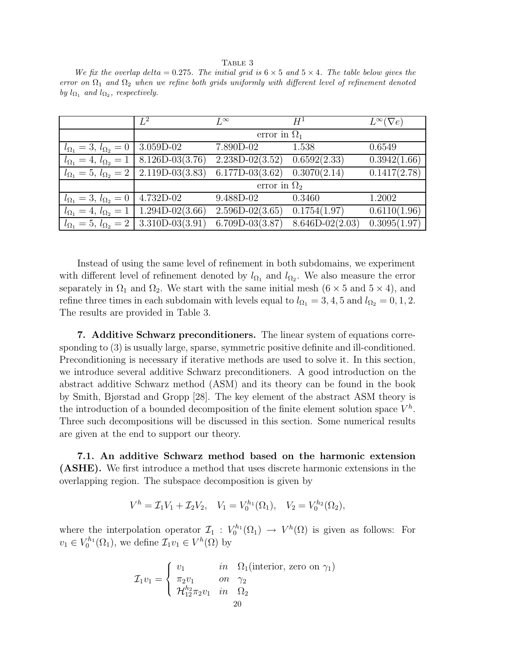Table 3 We fix the overlap delta = 0.275. The initial grid is  $6 \times 5$  and  $5 \times 4$ . The table below gives the error on  $\Omega_1$  and  $\Omega_2$  when we refine both grids uniformly with different level of refinement denoted by  $l_{\Omega_1}$  and  $l_{\Omega_2}$ , respectively.

|                                      | $L^2$               | $L^{\infty}$        | $H^1$             | $L^{\infty}(\nabla e)$ |
|--------------------------------------|---------------------|---------------------|-------------------|------------------------|
|                                      | error in $\Omega_1$ |                     |                   |                        |
| $l_{\Omega_1} = 3, l_{\Omega_2} = 0$ | $3.059D-02$         | 7.890D-02           | 1.538             | 0.6549                 |
| $l_{\Omega_1} = 4, l_{\Omega_2} = 1$ | $8.126D-03(3.76)$   | $2.238D-02(3.52)$   | 0.6592(2.33)      | 0.3942(1.66)           |
| $l_{\Omega_1} = 5, l_{\Omega_2} = 2$ | $2.119D-03(3.83)$   | $6.177D-03(3.62)$   | 0.3070(2.14)      | 0.1417(2.78)           |
|                                      | error in $\Omega_2$ |                     |                   |                        |
| $l_{\Omega_1} = 3, l_{\Omega_2} = 0$ | 4.732D-02           | 9.488D-02           | 0.3460            | 1.2002                 |
| $l_{\Omega_1} = 4, l_{\Omega_2} = 1$ | $1.294D-02(3.66)$   | $2.596D-02(3.65)$   | 0.1754(1.97)      | 0.6110(1.96)           |
| $l_{\Omega_1} = 5, l_{\Omega_2} = 2$ | $3.310D-03(3.91)$   | $6.709D - 03(3.87)$ | $8.646D-02(2.03)$ | 0.3095(1.97)           |

Instead of using the same level of refinement in both subdomains, we experiment with different level of refinement denoted by  $l_{\Omega_1}$  and  $l_{\Omega_2}$ . We also measure the error separately in  $\Omega_1$  and  $\Omega_2$ . We start with the same initial mesh (6 × 5 and 5 × 4), and refine three times in each subdomain with levels equal to  $l_{\Omega_1} = 3, 4, 5$  and  $l_{\Omega_2} = 0, 1, 2$ . The results are provided in Table 3.

**7. Additive Schwarz preconditioners.** The linear system of equations corresponding to (3) is usually large, sparse, symmetric positive definite and ill-conditioned. Preconditioning is necessary if iterative methods are used to solve it. In this section, we introduce several additive Schwarz preconditioners. A good introduction on the abstract additive Schwarz method (ASM) and its theory can be found in the book by Smith, Bjørstad and Gropp [28]. The key element of the abstract ASM theory is the introduction of a bounded decomposition of the finite element solution space  $V^h$ . Three such decompositions will be discussed in this section. Some numerical results are given at the end to support our theory.

**7.1. An additive Schwarz method based on the harmonic extension (ASHE).** We first introduce a method that uses discrete harmonic extensions in the overlapping region. The subspace decomposition is given by

$$
V^h = \mathcal{I}_1 V_1 + \mathcal{I}_2 V_2, \quad V_1 = V_0^{h_1}(\Omega_1), \quad V_2 = V_0^{h_2}(\Omega_2),
$$

where the interpolation operator  $\mathcal{I}_1 : V_0^{h_1}(\Omega_1) \to V^h(\Omega)$  is given as follows: For  $v_1 \in V_0^{h_1}(\Omega_1)$ , we define  $\mathcal{I}_1 v_1 \in V^h(\Omega)$  by

$$
\mathcal{I}_1 v_1 = \begin{cases} v_1 & \text{in} & \Omega_1(\text{interior, zero on } \gamma_1) \\ \pi_2 v_1 & \text{on} & \gamma_2 \\ \mathcal{H}_{12}^{h_2} \pi_2 v_1 & \text{in} & \Omega_2 \\ 20 & \text{in} & \Omega \end{cases}
$$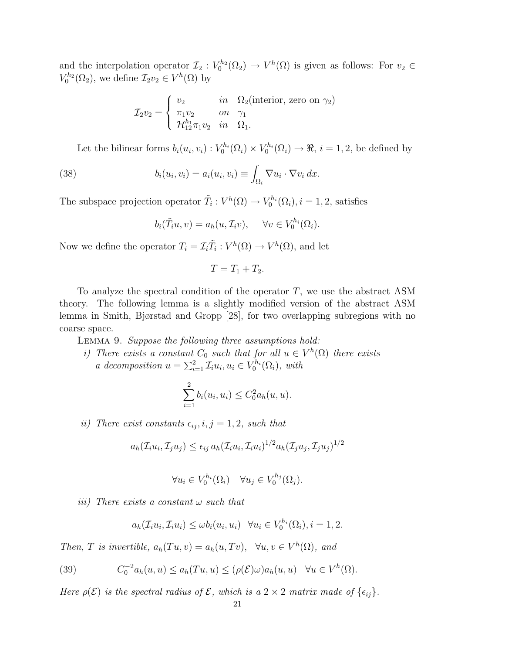and the interpolation operator  $\mathcal{I}_2: V_0^{h_2}(\Omega_2) \to V^h(\Omega)$  is given as follows: For  $v_2 \in$  $V_0^{h_2}(\Omega_2)$ , we define  $\mathcal{I}_2v_2 \in V^h(\Omega)$  by

$$
\mathcal{I}_2 v_2 = \begin{cases} v_2 & \text{in} \quad \Omega_2(\text{interior, zero on } \gamma_2) \\ \pi_1 v_2 & \text{on} \quad \gamma_1 \\ \mathcal{H}_{12}^{h_1} \pi_1 v_2 & \text{in} \quad \Omega_1. \end{cases}
$$

Let the bilinear forms  $b_i(u_i, v_i) : V_0^{h_i}(\Omega_i) \times V_0^{h_i}(\Omega_i) \to \Re, i = 1, 2$ , be defined by

(38) 
$$
b_i(u_i, v_i) = a_i(u_i, v_i) \equiv \int_{\Omega_i} \nabla u_i \cdot \nabla v_i \, dx.
$$

The subspace projection operator  $\tilde{T}_i : V^h(\Omega) \to V_0^{h_i}(\Omega_i), i = 1, 2$ , satisfies

$$
b_i(\tilde{T}_i u, v) = a_h(u, \mathcal{I}_i v), \quad \forall v \in V_0^{h_i}(\Omega_i).
$$

Now we define the operator  $T_i = \mathcal{I}_i \tilde{T}_i : V^h(\Omega) \to V^h(\Omega)$ , and let

$$
T = T_1 + T_2.
$$

To analyze the spectral condition of the operator  $T$ , we use the abstract ASM theory. The following lemma is a slightly modified version of the abstract ASM lemma in Smith, Bjørstad and Gropp [28], for two overlapping subregions with no coarse space.

Lemma 9. Suppose the following three assumptions hold:

i) There exists a constant  $C_0$  such that for all  $u \in V^h(\Omega)$  there exists a decomposition  $u = \sum_{i=1}^{2} \mathcal{I}_i u_i, u_i \in V_0^{h_i}(\Omega_i)$ , with

$$
\sum_{i=1}^{2} b_i(u_i, u_i) \leq C_0^2 a_h(u, u).
$$

ii) There exist constants  $\epsilon_{ij}$ ,  $i, j = 1, 2$ , such that

$$
a_h(\mathcal{I}_i u_i, \mathcal{I}_j u_j) \le \epsilon_{ij} a_h(\mathcal{I}_i u_i, \mathcal{I}_i u_i)^{1/2} a_h(\mathcal{I}_j u_j, \mathcal{I}_j u_j)^{1/2}
$$

$$
\forall u_i \in V_0^{h_i}(\Omega_i) \quad \forall u_j \in V_0^{h_j}(\Omega_j).
$$

iii) There exists a constant  $\omega$  such that

$$
a_h(\mathcal{I}_i u_i, \mathcal{I}_i u_i) \leq \omega b_i(u_i, u_i) \quad \forall u_i \in V_0^{h_i}(\Omega_i), i = 1, 2.
$$

Then, T is invertible,  $a_h(Tu, v) = a_h(u, Tv), \forall u, v \in V^h(\Omega)$ , and

(39) 
$$
C_0^{-2}a_h(u, u) \le a_h(Tu, u) \le (\rho(\mathcal{E})\omega)a_h(u, u) \quad \forall u \in V^h(\Omega).
$$

Here  $\rho(\mathcal{E})$  is the spectral radius of  $\mathcal{E}$ , which is a  $2 \times 2$  matrix made of  $\{\epsilon_{ij}\}.$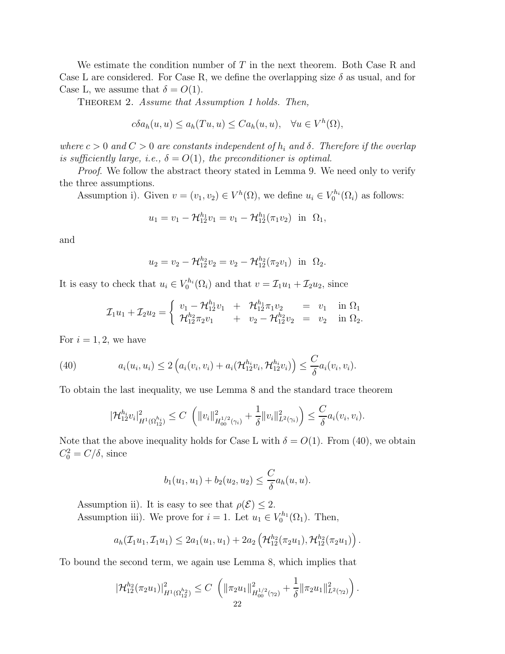We estimate the condition number of T in the next theorem. Both Case R and Case L are considered. For Case R, we define the overlapping size  $\delta$  as usual, and for Case L, we assume that  $\delta = O(1)$ .

THEOREM 2. Assume that Assumption 1 holds. Then,

$$
c\delta a_h(u, u) \le a_h(Tu, u) \le C a_h(u, u), \quad \forall u \in V^h(\Omega),
$$

where  $c > 0$  and  $C > 0$  are constants independent of  $h_i$  and  $\delta$ . Therefore if the overlap is sufficiently large, i.e.,  $\delta = O(1)$ , the preconditioner is optimal.

Proof. We follow the abstract theory stated in Lemma 9. We need only to verify the three assumptions.

Assumption i). Given  $v = (v_1, v_2) \in V^h(\Omega)$ , we define  $u_i \in V_0^{h_i}(\Omega_i)$  as follows:

$$
u_1 = v_1 - \mathcal{H}_{12}^{h_1} v_1 = v_1 - \mathcal{H}_{12}^{h_1} (\pi_1 v_2) \text{ in } \Omega_1,
$$

and

$$
u_2 = v_2 - \mathcal{H}_{12}^{h_2} v_2 = v_2 - \mathcal{H}_{12}^{h_2} (\pi_2 v_1) \text{ in } \Omega_2.
$$

It is easy to check that  $u_i \in V_0^{h_i}(\Omega_i)$  and that  $v = \mathcal{I}_1 u_1 + \mathcal{I}_2 u_2$ , since

$$
\mathcal{I}_1 u_1 + \mathcal{I}_2 u_2 = \begin{cases} v_1 - \mathcal{H}_{12}^{h_1} v_1 + \mathcal{H}_{12}^{h_1} \pi_1 v_2 = v_1 & \text{in } \Omega_1 \\ \mathcal{H}_{12}^{h_2} \pi_2 v_1 + v_2 - \mathcal{H}_{12}^{h_2} v_2 = v_2 & \text{in } \Omega_2. \end{cases}
$$

For  $i = 1, 2$ , we have

(40) 
$$
a_i(u_i, u_i) \leq 2 \left( a_i(v_i, v_i) + a_i(\mathcal{H}_{12}^{h_i} v_i, \mathcal{H}_{12}^{h_i} v_i) \right) \leq \frac{C}{\delta} a_i(v_i, v_i).
$$

To obtain the last inequality, we use Lemma 8 and the standard trace theorem

$$
|\mathcal{H}_{12}^{h_i}v_i|_{H^1(\Omega_{12}^{h_i})}^2 \leq C \left( \|v_i\|_{H_{00}^{1/2}(\gamma_i)}^2 + \frac{1}{\delta} \|v_i\|_{L^2(\gamma_i)}^2 \right) \leq \frac{C}{\delta} a_i(v_i, v_i).
$$

Note that the above inequality holds for Case L with  $\delta = O(1)$ . From (40), we obtain  $C_0^2 = C/\delta$ , since

$$
b_1(u_1, u_1) + b_2(u_2, u_2) \leq \frac{C}{\delta} a_h(u, u).
$$

Assumption ii). It is easy to see that  $\rho(\mathcal{E}) \leq 2$ . Assumption iii). We prove for  $i = 1$ . Let  $u_1 \in V_0^{h_1}(\Omega_1)$ . Then,

$$
a_h(\mathcal{I}_1 u_1, \mathcal{I}_1 u_1) \leq 2a_1(u_1, u_1) + 2a_2\left(\mathcal{H}_{12}^{h_2}(\pi_2 u_1), \mathcal{H}_{12}^{h_2}(\pi_2 u_1)\right).
$$

To bound the second term, we again use Lemma 8, which implies that

$$
|\mathcal{H}_{12}^{h_2}(\pi_2 u_1)|_{H^1(\Omega_{12}^{h_2})}^2 \leq C \left( \|\pi_2 u_1\|_{H_{00}^{1/2}(\gamma_2)}^2 + \frac{1}{\delta} \|\pi_2 u_1\|_{L^2(\gamma_2)}^2 \right).
$$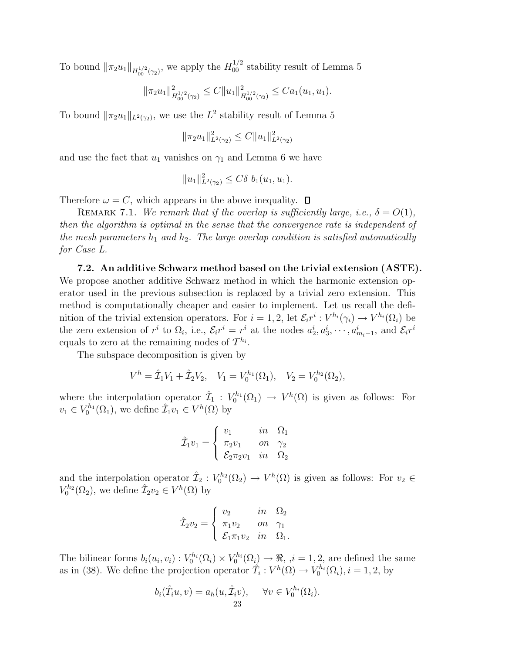To bound  $\|\pi_2 u_1\|_{H_{00}^{1/2}(\gamma_2)}$ , we apply the  $H_{00}^{1/2}$  stability result of Lemma 5

$$
\|\pi_2 u_1\|_{H_{00}^{1/2}(\gamma_2)}^2 \leq C \|u_1\|_{H_{00}^{1/2}(\gamma_2)}^2 \leq C a_1(u_1, u_1).
$$

To bound  $\|\pi_2 u_1\|_{L^2(\gamma_2)}$ , we use the  $L^2$  stability result of Lemma 5

$$
\|\pi_2 u_1\|_{L^2(\gamma_2)}^2 \le C \|u_1\|_{L^2(\gamma_2)}^2
$$

and use the fact that  $u_1$  vanishes on  $\gamma_1$  and Lemma 6 we have

$$
||u_1||_{L^2(\gamma_2)}^2 \le C\delta \ b_1(u_1, u_1).
$$

Therefore  $\omega = C$ , which appears in the above inequality.  $\Box$ 

REMARK 7.1. We remark that if the overlap is sufficiently large, i.e.,  $\delta = O(1)$ , then the algorithm is optimal in the sense that the convergence rate is independent of the mesh parameters  $h_1$  and  $h_2$ . The large overlap condition is satisfied automatically for Case L.

**7.2. An additive Schwarz method based on the trivial extension (ASTE).** We propose another additive Schwarz method in which the harmonic extension operator used in the previous subsection is replaced by a trivial zero extension. This method is computationally cheaper and easier to implement. Let us recall the definition of the trivial extension operators. For  $i = 1, 2$ , let  $\mathcal{E}_i r^i : V^{h_i}(\gamma_i) \to V^{h_i}(\Omega_i)$  be the zero extension of  $r^i$  to  $\Omega_i$ , i.e.,  $\mathcal{E}_i r^i = r^i$  at the nodes  $a_2^i, a_3^i, \dots, a_{m_i-1}^i$ , and  $\mathcal{E}_i r^i$ equals to zero at the remaining nodes of  $\mathcal{T}^{h_i}$ .

The subspace decomposition is given by

$$
V^h = \hat{\mathcal{I}}_1 V_1 + \hat{\mathcal{I}}_2 V_2, \quad V_1 = V_0^{h_1}(\Omega_1), \quad V_2 = V_0^{h_2}(\Omega_2),
$$

where the interpolation operator  $\hat{\mathcal{I}}_1: V_0^{h_1}(\Omega_1) \to V^h(\Omega)$  is given as follows: For  $v_1 \in V_0^{h_1}(\Omega_1)$ , we define  $\hat{\mathcal{I}}_1 v_1 \in V^h(\Omega)$  by

$$
\hat{\mathcal{I}}_1 v_1 = \begin{cases} v_1 & in & \Omega_1 \\ \pi_2 v_1 & on & \gamma_2 \\ \mathcal{E}_2 \pi_2 v_1 & in & \Omega_2 \end{cases}
$$

and the interpolation operator  $\hat{\mathcal{I}}_2: V_0^{h_2}(\Omega_2) \to V^h(\Omega)$  is given as follows: For  $v_2 \in$  $V_0^{h_2}(\Omega_2)$ , we define  $\hat{\mathcal{I}}_2v_2 \in V^h(\Omega)$  by

$$
\hat{\mathcal{I}}_2 v_2 = \begin{cases} v_2 & in & \Omega_2 \\ \pi_1 v_2 & on & \gamma_1 \\ \mathcal{E}_1 \pi_1 v_2 & in & \Omega_1. \end{cases}
$$

The bilinear forms  $b_i(u_i, v_i) : V_0^{h_i}(\Omega_i) \times V_0^{h_i}(\Omega_i) \to \Re, \ i = 1, 2$ , are defined the same as in (38). We define the projection operator  $\hat{T}_i : V^h(\Omega) \to V_0^{h_i}(\Omega_i), i = 1, 2$ , by

$$
b_i(\hat{T}_i u, v) = a_h(u, \hat{T}_i v), \quad \forall v \in V_0^{h_i}(\Omega_i).
$$
  
23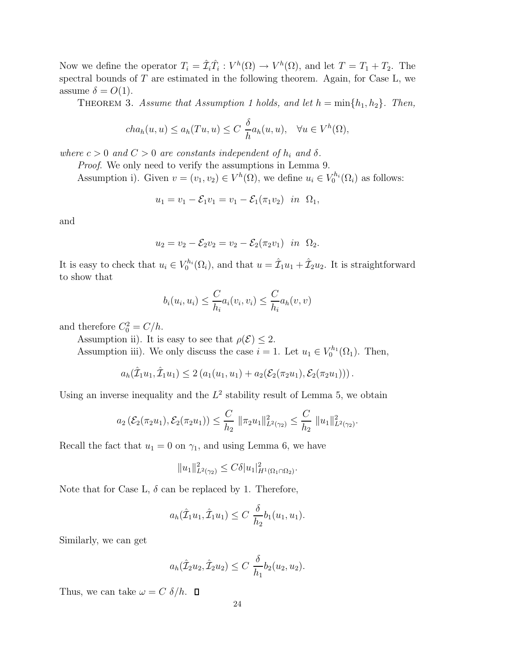Now we define the operator  $T_i = \hat{\mathcal{I}}_i \hat{T}_i : V^h(\Omega) \to V^h(\Omega)$ , and let  $T = T_1 + T_2$ . The spectral bounds of  $T$  are estimated in the following theorem. Again, for Case L, we assume  $\delta = O(1)$ .

THEOREM 3. Assume that Assumption 1 holds, and let  $h = \min\{h_1, h_2\}$ . Then,

$$
cha_h(u, u) \le a_h(Tu, u) \le C \frac{\delta}{h}a_h(u, u), \quad \forall u \in V^h(\Omega),
$$

where  $c > 0$  and  $C > 0$  are constants independent of  $h_i$  and  $\delta$ .

Proof. We only need to verify the assumptions in Lemma 9.

Assumption i). Given  $v = (v_1, v_2) \in V^h(\Omega)$ , we define  $u_i \in V_0^{h_i}(\Omega_i)$  as follows:

$$
u_1 = v_1 - \mathcal{E}_1 v_1 = v_1 - \mathcal{E}_1(\pi_1 v_2) \text{ in } \Omega_1,
$$

and

$$
u_2 = v_2 - \mathcal{E}_2 v_2 = v_2 - \mathcal{E}_2(\pi_2 v_1) \text{ in } \Omega_2.
$$

It is easy to check that  $u_i \in V_0^{h_i}(\Omega_i)$ , and that  $u = \hat{\mathcal{I}}_1 u_1 + \hat{\mathcal{I}}_2 u_2$ . It is straightforward to show that

$$
b_i(u_i, u_i) \leq \frac{C}{h_i} a_i(v_i, v_i) \leq \frac{C}{h_i} a_h(v, v)
$$

and therefore  $C_0^2 = C/h$ .

Assumption ii). It is easy to see that  $\rho(\mathcal{E}) \leq 2$ .

Assumption iii). We only discuss the case  $i = 1$ . Let  $u_1 \in V_0^{h_1}(\Omega_1)$ . Then,

$$
a_h(\hat{\mathcal{I}}_1u_1,\hat{\mathcal{I}}_1u_1) \leq 2\left(a_1(u_1,u_1) + a_2(\mathcal{E}_2(\pi_2u_1),\mathcal{E}_2(\pi_2u_1))\right).
$$

Using an inverse inequality and the  $L^2$  stability result of Lemma 5, we obtain

$$
a_2\left(\mathcal{E}_2(\pi_2 u_1), \mathcal{E}_2(\pi_2 u_1)\right) \leq \frac{C}{h_2} \|\pi_2 u_1\|_{L^2(\gamma_2)}^2 \leq \frac{C}{h_2} \|u_1\|_{L^2(\gamma_2)}^2.
$$

Recall the fact that  $u_1 = 0$  on  $\gamma_1$ , and using Lemma 6, we have

$$
||u_1||_{L^2(\gamma_2)}^2 \leq C\delta |u_1|_{H^1(\Omega_1 \cap \Omega_2)}^2.
$$

Note that for Case L,  $\delta$  can be replaced by 1. Therefore,

$$
a_h(\hat{\mathcal{I}}_1 u_1, \hat{\mathcal{I}}_1 u_1) \leq C \frac{\delta}{h_2} b_1(u_1, u_1).
$$

Similarly, we can get

$$
a_h(\hat{\mathcal{I}}_2 u_2, \hat{\mathcal{I}}_2 u_2) \leq C \frac{\delta}{h_1} b_2(u_2, u_2).
$$

Thus, we can take  $\omega = C \delta / h$ .  $\Box$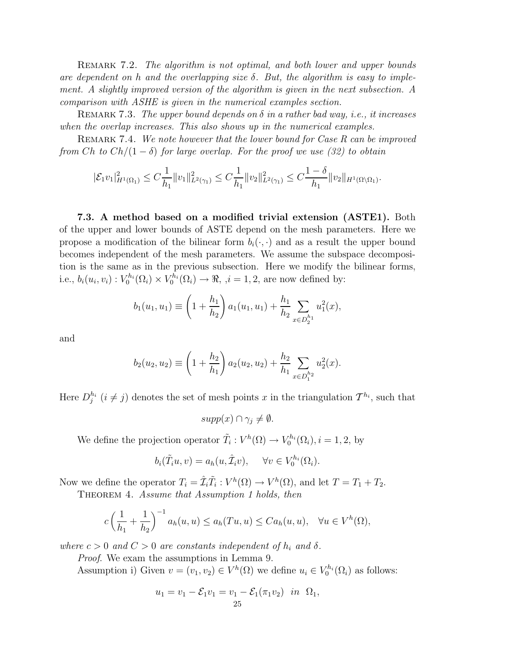REMARK 7.2. The algorithm is not optimal, and both lower and upper bounds are dependent on h and the overlapping size  $\delta$ . But, the algorithm is easy to implement. A slightly improved version of the algorithm is given in the next subsection. A comparison with ASHE is given in the numerical examples section.

REMARK 7.3. The upper bound depends on  $\delta$  in a rather bad way, i.e., it increases when the overlap increases. This also shows up in the numerical examples.

REMARK 7.4. We note however that the lower bound for Case R can be improved from Ch to  $Ch/(1-\delta)$  for large overlap. For the proof we use (32) to obtain

$$
|\mathcal{E}_1 v_1|_{H^1(\Omega_1)}^2 \leq C \frac{1}{h_1} \|v_1\|_{L^2(\gamma_1)}^2 \leq C \frac{1}{h_1} \|v_2\|_{L^2(\gamma_1)}^2 \leq C \frac{1-\delta}{h_1} \|v_2\|_{H^1(\Omega \setminus \Omega_1)}.
$$

**7.3. A method based on a modified trivial extension (ASTE1).** Both of the upper and lower bounds of ASTE depend on the mesh parameters. Here we propose a modification of the bilinear form  $b_i(\cdot, \cdot)$  and as a result the upper bound becomes independent of the mesh parameters. We assume the subspace decomposition is the same as in the previous subsection. Here we modify the bilinear forms, i.e.,  $b_i(u_i, v_i): V_0^{h_i}(\Omega_i) \times V_0^{h_i}(\Omega_i) \to \Re, \ i = 1, 2$ , are now defined by:

$$
b_1(u_1, u_1) \equiv \left(1 + \frac{h_1}{h_2}\right) a_1(u_1, u_1) + \frac{h_1}{h_2} \sum_{x \in D_2^{h_1}} u_1^2(x),
$$

and

$$
b_2(u_2, u_2) \equiv \left(1 + \frac{h_2}{h_1}\right) a_2(u_2, u_2) + \frac{h_2}{h_1} \sum_{x \in D_1^{h_2}} u_2^2(x).
$$

Here  $D_j^{h_i}$   $(i \neq j)$  denotes the set of mesh points x in the triangulation  $\mathcal{T}^{h_i}$ , such that

 $supp(x) \cap \gamma_i \neq \emptyset.$ 

We define the projection operator  $\tilde{T}_i : V^h(\Omega) \to V_0^{h_i}(\Omega_i), i = 1, 2$ , by

$$
b_i(\tilde{T}_i u, v) = a_h(u, \tilde{T}_i v), \quad \forall v \in V_0^{h_i}(\Omega_i).
$$

Now we define the operator  $T_i = \hat{\mathcal{I}}_i \tilde{T}_i : V^h(\Omega) \to V^h(\Omega)$ , and let  $T = T_1 + T_2$ .

THEOREM 4. Assume that Assumption 1 holds, then

$$
c\left(\frac{1}{h_1}+\frac{1}{h_2}\right)^{-1}a_h(u,u)\leq a_h(Tu,u)\leq Ca_h(u,u), \quad \forall u\in V^h(\Omega),
$$

where  $c > 0$  and  $C > 0$  are constants independent of  $h_i$  and  $\delta$ .

Proof. We exam the assumptions in Lemma 9.

Assumption i) Given  $v = (v_1, v_2) \in V^h(\Omega)$  we define  $u_i \in V_0^{h_i}(\Omega_i)$  as follows:

$$
u_1 = v_1 - \mathcal{E}_1 v_1 = v_1 - \mathcal{E}_1 (\pi_1 v_2) \text{ in } \Omega_1,
$$
  
25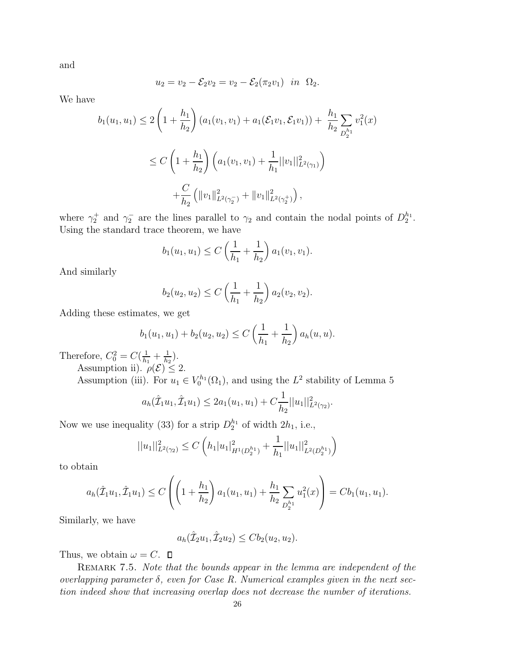and

$$
u_2 = v_2 - \mathcal{E}_2 v_2 = v_2 - \mathcal{E}_2(\pi_2 v_1) \text{ in } \Omega_2.
$$

We have

$$
b_1(u_1, u_1) \le 2\left(1 + \frac{h_1}{h_2}\right) \left(a_1(v_1, v_1) + a_1(\mathcal{E}_1 v_1, \mathcal{E}_1 v_1)\right) + \frac{h_1}{h_2} \sum_{D_2^{h_1}} v_1^2(x)
$$
  

$$
\le C\left(1 + \frac{h_1}{h_2}\right) \left(a_1(v_1, v_1) + \frac{1}{h_1}||v_1||_{L^2(\gamma_1)}^2\right)
$$
  

$$
+ \frac{C}{h_2} \left(||v_1||_{L^2(\gamma_2)}^2 + ||v_1||_{L^2(\gamma_2^+)}^2\right),
$$

where  $\gamma_2^+$  and  $\gamma_2^-$  are the lines parallel to  $\gamma_2$  and contain the nodal points of  $D_2^{h_1}$ . Using the standard trace theorem, we have

$$
b_1(u_1, u_1) \le C\left(\frac{1}{h_1} + \frac{1}{h_2}\right) a_1(v_1, v_1).
$$

And similarly

$$
b_2(u_2, u_2) \le C\left(\frac{1}{h_1} + \frac{1}{h_2}\right) a_2(v_2, v_2).
$$

Adding these estimates, we get

$$
b_1(u_1, u_1) + b_2(u_2, u_2) \le C\left(\frac{1}{h_1} + \frac{1}{h_2}\right) a_h(u, u).
$$

Therefore,  $C_0^2 = C(\frac{1}{h_1} + \frac{1}{h_2})$ .

Assumption ii).  $\rho(\mathcal{E}) \leq 2$ . Assumption (iii). For  $u_1 \in V_0^{h_1}(\Omega_1)$ , and using the  $L^2$  stability of Lemma 5

$$
a_h(\hat{\mathcal{I}}_1 u_1, \hat{\mathcal{I}}_1 u_1) \leq 2a_1(u_1, u_1) + C \frac{1}{h_2} ||u_1||^2_{L^2(\gamma_2)}.
$$

Now we use inequality (33) for a strip  $D_2^{h_1}$  of width  $2h_1$ , i.e.,

$$
||u_1||_{L^2(\gamma_2)}^2 \le C\left(h_1|u_1|_{H^1(D_2^{h_1})}^2 + \frac{1}{h_1}||u_1||_{L^2(D_2^{h_1})}^2\right)
$$

to obtain

$$
a_h(\hat{\mathcal{I}}_1 u_1, \hat{\mathcal{I}}_1 u_1) \leq C \left( \left( 1 + \frac{h_1}{h_2} \right) a_1(u_1, u_1) + \frac{h_1}{h_2} \sum_{D_2^{h_1}} u_1^2(x) \right) = C b_1(u_1, u_1).
$$

Similarly, we have

$$
a_h(\hat{\mathcal{I}}_2 u_1, \hat{\mathcal{I}}_2 u_2) \leq C b_2(u_2, u_2).
$$

Thus, we obtain  $\omega = C$ .  $\Box$ 

REMARK 7.5. Note that the bounds appear in the lemma are independent of the overlapping parameter  $\delta$ , even for Case R. Numerical examples given in the next section indeed show that increasing overlap does not decrease the number of iterations.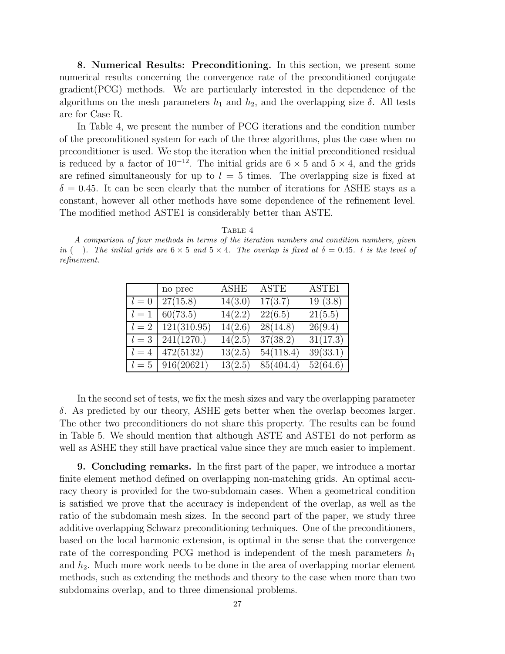**8. Numerical Results: Preconditioning.** In this section, we present some numerical results concerning the convergence rate of the preconditioned conjugate gradient(PCG) methods. We are particularly interested in the dependence of the algorithms on the mesh parameters  $h_1$  and  $h_2$ , and the overlapping size  $\delta$ . All tests are for Case R.

In Table 4, we present the number of PCG iterations and the condition number of the preconditioned system for each of the three algorithms, plus the case when no preconditioner is used. We stop the iteration when the initial preconditioned residual is reduced by a factor of  $10^{-12}$ . The initial grids are  $6 \times 5$  and  $5 \times 4$ , and the grids are refined simultaneously for up to  $l = 5$  times. The overlapping size is fixed at  $\delta = 0.45$ . It can be seen clearly that the number of iterations for ASHE stays as a constant, however all other methods have some dependence of the refinement level. The modified method ASTE1 is considerably better than ASTE.

TABLE 4

A comparison of four methods in terms of the iteration numbers and condition numbers, given in (). The initial grids are  $6 \times 5$  and  $5 \times 4$ . The overlap is fixed at  $\delta = 0.45$ . *l* is the level of refinement.

|       | no prec     | ASHE    | ASTE      | ASTE1    |
|-------|-------------|---------|-----------|----------|
| $l=0$ | 27(15.8)    | 14(3.0) | 17(3.7)   | 19(3.8)  |
| $l=1$ | 60(73.5)    | 14(2.2) | 22(6.5)   | 21(5.5)  |
| $l=2$ | 121(310.95) | 14(2.6) | 28(14.8)  | 26(9.4)  |
| $l=3$ | 241(1270.)  | 14(2.5) | 37(38.2)  | 31(17.3) |
| $l=4$ | 472(5132)   | 13(2.5) | 54(118.4) | 39(33.1) |
| $l=5$ | 916(20621)  | 13(2.5) | 85(404.4) | 52(64.6) |

In the second set of tests, we fix the mesh sizes and vary the overlapping parameter δ. As predicted by our theory, ASHE gets better when the overlap becomes larger. The other two preconditioners do not share this property. The results can be found in Table 5. We should mention that although ASTE and ASTE1 do not perform as well as ASHE they still have practical value since they are much easier to implement.

**9. Concluding remarks.** In the first part of the paper, we introduce a mortar finite element method defined on overlapping non-matching grids. An optimal accuracy theory is provided for the two-subdomain cases. When a geometrical condition is satisfied we prove that the accuracy is independent of the overlap, as well as the ratio of the subdomain mesh sizes. In the second part of the paper, we study three additive overlapping Schwarz preconditioning techniques. One of the preconditioners, based on the local harmonic extension, is optimal in the sense that the convergence rate of the corresponding PCG method is independent of the mesh parameters  $h_1$ and  $h_2$ . Much more work needs to be done in the area of overlapping mortar element methods, such as extending the methods and theory to the case when more than two subdomains overlap, and to three dimensional problems.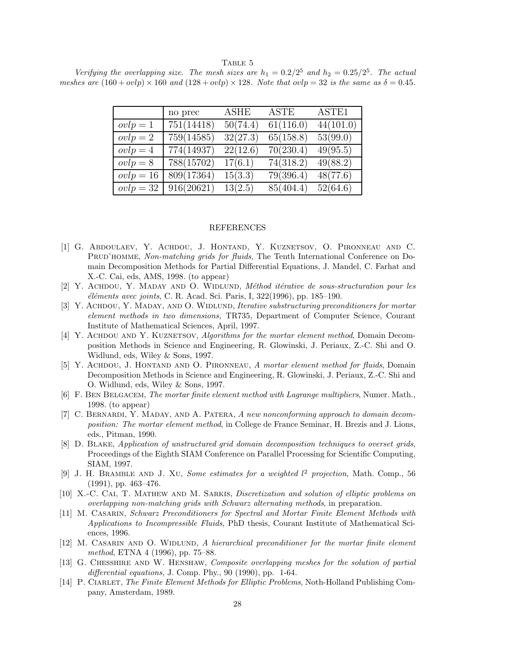TABLE 5

Verifying the overlapping size. The mesh sizes are  $h_1 = 0.2/2^5$  and  $h_2 = 0.25/2^5$ . The actual meshes are  $(160 + ovlp) \times 160$  and  $(128 + ovlp) \times 128$ . Note that  $ovlp = 32$  is the same as  $\delta = 0.45$ .

|             | no prec    | ASHE     | ASTE      | ASTE1     |
|-------------|------------|----------|-----------|-----------|
| $ovlp = 1$  | 751(14418) | 50(74.4) | 61(116.0) | 44(101.0) |
| $ovlp = 2$  | 759(14585) | 32(27.3) | 65(158.8) | 53(99.0)  |
| $ovlp = 4$  | 774(14937) | 22(12.6) | 70(230.4) | 49(95.5)  |
| $ovlp = 8$  | 788(15702) | 17(6.1)  | 74(318.2) | 49(88.2)  |
| $ovlp = 16$ | 809(17364) | 15(3.3)  | 79(396.4) | 48(77.6)  |
| $ovlp = 32$ | 916(20621) | 13(2.5)  | 85(404.4) | 52(64.6)  |

#### REFERENCES

- [1] G. Abdoulaev, Y. Achdou, J. Hontand, Y. Kuznetsov, O. Pironneau and C. PRUD'HOMME, Non-matching grids for fluids, The Tenth International Conference on Domain Decomposition Methods for Partial Differential Equations, J. Mandel, C. Farhat and X.-C. Cai, eds, AMS, 1998. (to appear)
- [2] Y. ACHDOU, Y. MADAY AND O. WIDLUND, Méthod itérative de sous-structuration pour les  $'e\n *l'eme*nts avec *joints*, C. R. Acad. Sci. Paris, I,  $322(1996)$ , pp. 185–190.$
- [3] Y. ACHDOU, Y. MADAY, AND O. WIDLUND, *Iterative substructuring preconditioners for mortar* element methods in two dimensions, TR735, Department of Computer Science, Courant Institute of Mathematical Sciences, April, 1997.
- [4] Y. ACHDOU AND Y. KUZNETSOV, *Algorithms for the mortar element method*, Domain Decomposition Methods in Science and Engineering, R. Glowinski, J. Periaux, Z.-C. Shi and O. Widlund, eds, Wiley & Sons, 1997.
- [5] Y. ACHDOU, J. HONTAND AND O. PIRONNEAU, A mortar element method for fluids, Domain Decomposition Methods in Science and Engineering, R. Glowinski, J. Periaux, Z.-C. Shi and O. Widlund, eds, Wiley & Sons, 1997.
- [6] F. BEN BELGACEM, The mortar finite element method with Lagrange multipliers, Numer. Math., 1998. (to appear)
- [7] C. Bernardi, Y. Maday, and A. Patera, A new nonconforming approach to domain decomposition: The mortar element method, in College de France Seminar, H. Brezis and J. Lions, eds., Pitman, 1990.
- [8] D. Blake, Application of unstructured grid domain decomposition techniques to overset grids, Proceedings of the Eighth SIAM Conference on Parallel Processing for Scientific Computing, SIAM, 1997.
- [9] J. H. BRAMBLE AND J. XU, Some estimates for a weighted  $l^2$  projection, Math. Comp., 56 (1991), pp. 463–476.
- [10] X.-C. CAI, T. MATHEW AND M. SARKIS, *Discretization and solution of elliptic problems on* overlapping non-matching grids with Schwarz alternating methods, in preparation.
- [11] M. Casarin, Schwarz Preconditioners for Spectral and Mortar Finite Element Methods with Applications to Incompressible Fluids, PhD thesis, Courant Institute of Mathematical Sciences, 1996.
- [12] M. CASARIN AND O. WIDLUND, A hierarchical preconditioner for the mortar finite element method, ETNA 4 (1996), pp. 75–88.
- [13] G. Chesshire and W. Henshaw, Composite overlapping meshes for the solution of partial differential equations, J. Comp. Phy., 90 (1990), pp. 1-64.
- [14] P. CIARLET, The Finite Element Methods for Elliptic Problems, Noth-Holland Publishing Company, Amsterdam, 1989.